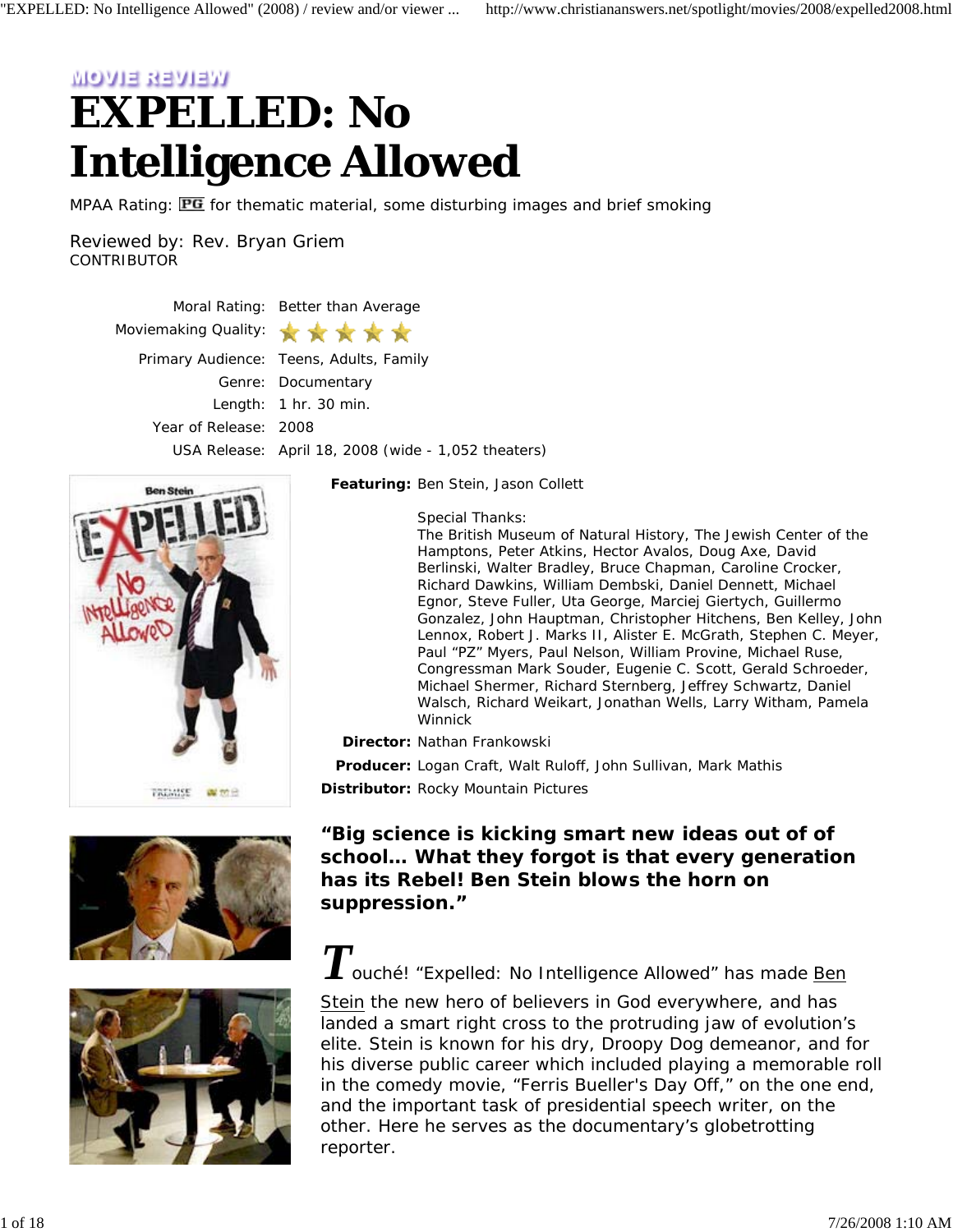# **MOVIE REVOR EXPELLED: No Intelligence Allowed**

MPAA Rating: **PG** for thematic material, some disturbing images and brief smoking

Reviewed by: Rev. Bryan Griem **CONTRIBUTOR** 

> Moral Rating: Better than Average Moviemaking Quality: **SILE SEC** Primary Audience: Teens, Adults, Family Genre: Documentary Length: 1 hr. 30 min. Year of Release: 2008 USA Release: April 18, 2008 (wide - 1,052 theaters)







*Featuring:* Ben Stein, Jason Collett

*Special Thanks:*

The British Museum of Natural History, The Jewish Center of the Hamptons, Peter Atkins, Hector Avalos, Doug Axe, David Berlinski, Walter Bradley, Bruce Chapman, Caroline Crocker, Richard Dawkins, William Dembski, Daniel Dennett, Michael Egnor, Steve Fuller, Uta George, Marciej Giertych, Guillermo Gonzalez, John Hauptman, Christopher Hitchens, Ben Kelley, John Lennox, Robert J. Marks II, Alister E. McGrath, Stephen C. Meyer, Paul "PZ" Myers, Paul Nelson, William Provine, Michael Ruse, Congressman Mark Souder, Eugenie C. Scott, Gerald Schroeder, Michael Shermer, Richard Sternberg, Jeffrey Schwartz, Daniel Walsch, Richard Weikart, Jonathan Wells, Larry Witham, Pamela Winnick

*Director:* Nathan Frankowski

*Producer:* Logan Craft, Walt Ruloff, John Sullivan, Mark Mathis

*Distributor:* Rocky Mountain Pictures

*"Big science is kicking smart new ideas out of of school… What they forgot is that every generation has its Rebel! Ben Stein blows the horn on suppression."*

 $\sum$  ouché! "Expelled: No Intelligence Allowed" has made **Ben** 

Stein the new hero of believers in God everywhere, and has landed a smart right cross to the protruding jaw of evolution's elite. Stein is known for his dry, Droopy Dog demeanor, and for his diverse public career which included playing a memorable roll in the comedy movie, "Ferris Bueller's Day Off," on the one end, and the important task of presidential speech writer, on the other. Here he serves as the documentary's globetrotting reporter.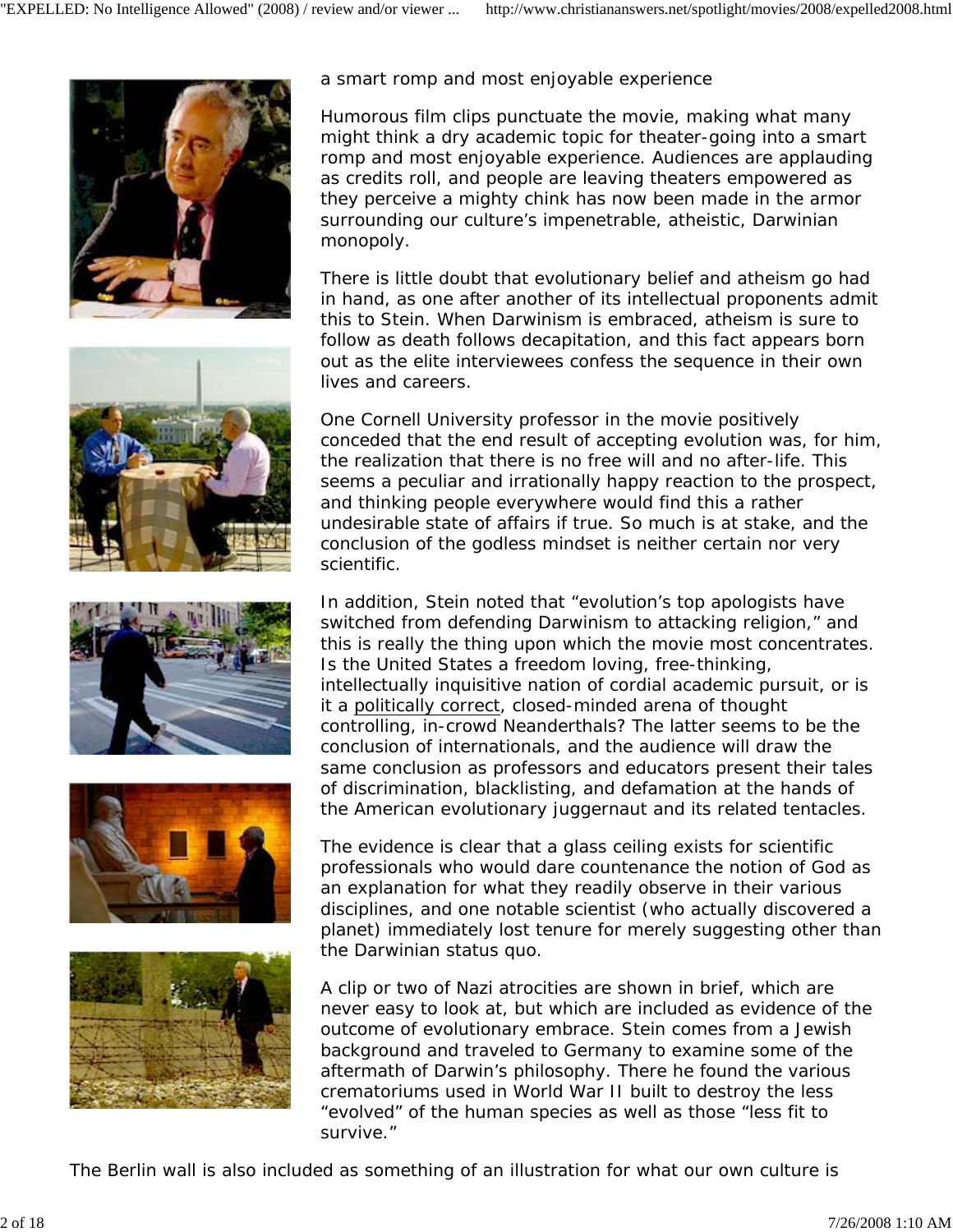









a smart romp and most enjoyable experience

Humorous film clips punctuate the movie, making what many might think a dry academic topic for theater-going into a smart romp and most enjoyable experience. Audiences are applauding as credits roll, and people are leaving theaters empowered as they perceive a mighty chink has now been made in the armor surrounding our culture's impenetrable, atheistic, Darwinian monopoly.

There is little doubt that evolutionary belief and atheism go had in hand, as one after another of its intellectual proponents admit this to Stein. When Darwinism is embraced, atheism is sure to follow as death follows decapitation, and this fact appears born out as the elite interviewees confess the sequence in their own lives and careers.

One Cornell University professor in the movie positively conceded that the end result of accepting evolution was, for him, the realization that there is no free will and no after-life. This seems a peculiar and irrationally happy reaction to the prospect, and thinking people everywhere would find this a rather undesirable state of affairs if true. So much is at stake, and the conclusion of the godless mindset is neither certain nor very scientific.

In addition, Stein noted that "evolution's top apologists have switched from defending Darwinism to attacking religion," and this is really the thing upon which the movie most concentrates. Is the United States a freedom loving, free-thinking, intellectually inquisitive nation of cordial academic pursuit, or is it a politically correct, closed-minded arena of thought controlling, in-crowd Neanderthals? The latter seems to be the conclusion of internationals, and the audience will draw the same conclusion as professors and educators present their tales of discrimination, blacklisting, and defamation at the hands of the American evolutionary juggernaut and its related tentacles.

The evidence is clear that a glass ceiling exists for scientific professionals who would dare countenance the notion of God as an explanation for what they readily observe in their various disciplines, and one notable scientist (who actually discovered a planet) immediately lost tenure for merely suggesting other than the Darwinian status quo.

A clip or two of Nazi atrocities are shown in brief, which are never easy to look at, but which are included as evidence of the outcome of evolutionary embrace. Stein comes from a Jewish background and traveled to Germany to examine some of the aftermath of Darwin's philosophy. There he found the various crematoriums used in World War II built to destroy the less "evolved" of the human species as well as those "less fit to survive."

The Berlin wall is also included as something of an illustration for what our own culture is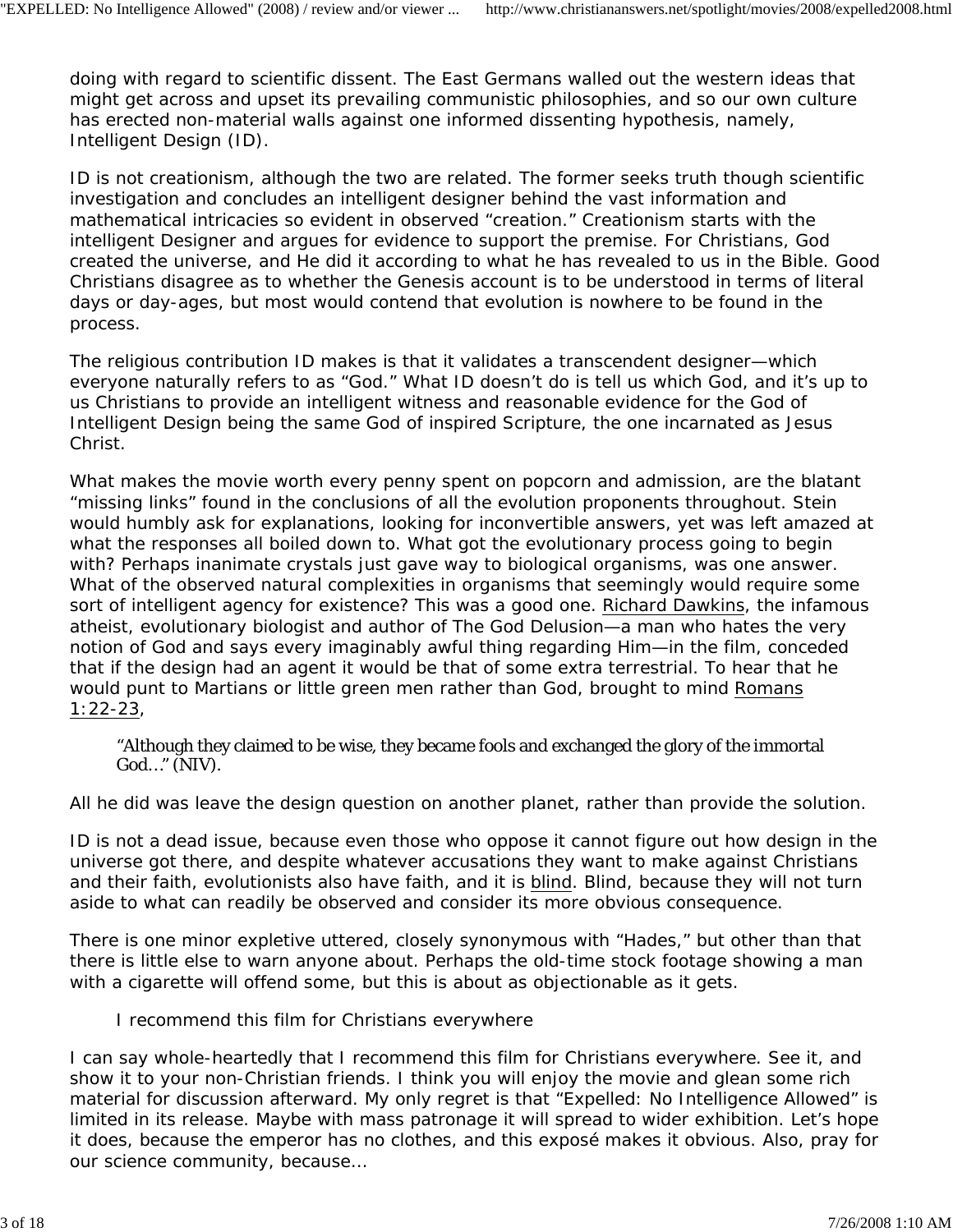doing with regard to scientific dissent. The East Germans walled out the western ideas that might get across and upset its prevailing communistic philosophies, and so our own culture has erected non-material walls against one informed dissenting hypothesis, namely, Intelligent Design (ID).

ID is not creationism, although the two are related. The former seeks truth though scientific investigation and concludes an intelligent designer behind the vast information and mathematical intricacies so evident in observed "creation." Creationism starts with the intelligent Designer and argues for evidence to support the premise. For Christians, God created the universe, and He did it according to what he has revealed to us in the Bible. Good Christians disagree as to whether the Genesis account is to be understood in terms of literal days or day-ages, but most would contend that evolution is nowhere to be found in the process.

The religious contribution ID makes is that it validates a transcendent designer—which everyone naturally refers to as "God." What ID doesn't do is tell us which God, and it's up to us Christians to provide an intelligent witness and reasonable evidence for the God of Intelligent Design being the same God of inspired Scripture, the one incarnated as Jesus Christ.

What makes the movie worth every penny spent on popcorn and admission, are the blatant "missing links" found in the conclusions of all the evolution proponents throughout. Stein would humbly ask for explanations, looking for inconvertible answers, yet was left amazed at what the responses all boiled down to. What got the evolutionary process going to begin with? Perhaps inanimate crystals just gave way to biological organisms, was one answer. What of the observed natural complexities in organisms that seemingly would require some sort of intelligent agency for existence? This was a good one. Richard Dawkins, the infamous atheist, evolutionary biologist and author of *The God Delusion*—a man who hates the very notion of God and says every imaginably awful thing regarding Him—in the film, conceded that if the design had an agent it would be that of some extra terrestrial. To hear that he would punt to Martians or little green men rather than God, brought to mind Romans 1:22-23,

"Although they claimed to be wise, they became fools and exchanged the glory of the immortal God…" (NIV).

All he did was leave the design question on another planet, rather than provide the solution.

ID is not a dead issue, because even those who oppose it cannot figure out how design in the universe got there, and despite whatever accusations they want to make against Christians and their faith, evolutionists also have faith, and it is blind. Blind, because they will not turn aside to what can readily be observed and consider its more obvious consequence.

There is one minor expletive uttered, closely synonymous with "Hades," but other than that there is little else to warn anyone about. Perhaps the old-time stock footage showing a man with a cigarette will offend some, but this is about as objectionable as it gets.

I recommend this film for Christians everywhere

I can say whole-heartedly that I recommend this film for Christians everywhere. See it, and show it to your non-Christian friends. I think you will enjoy the movie and glean some rich material for discussion afterward. My only regret is that "Expelled: No Intelligence Allowed" is limited in its release. Maybe with mass patronage it will spread to wider exhibition. Let's hope it does, because the emperor has no clothes, and this exposé makes it obvious. Also, pray for our science community, because…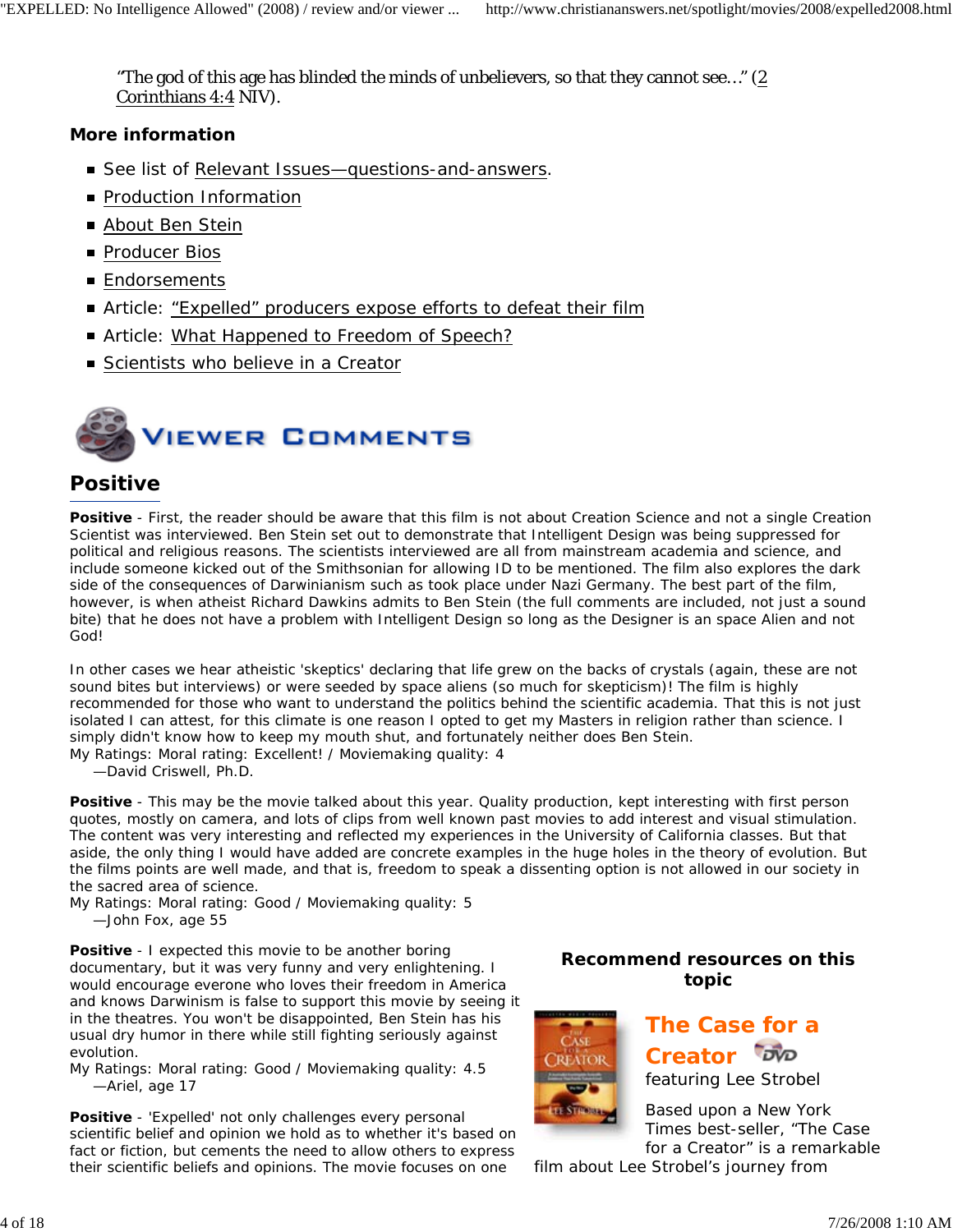"The god of this age has blinded the minds of unbelievers, so that they cannot see…" (2 Corinthians 4:4 NIV).

#### *More information*

- See list of Relevant Issues-questions-and-answers.
- **Production Information**
- About Ben Stein
- Producer Bios
- **Endorsements**
- Article: "Expelled" producers expose efforts to defeat their film
- Article: What Happened to Freedom of Speech?
- Scientists who believe in a Creator



### **Positive**

**Positive** - First, the reader should be aware that this film is not about Creation Science and not a single Creation Scientist was interviewed. Ben Stein set out to demonstrate that Intelligent Design was being suppressed for political and religious reasons. The scientists interviewed are all from mainstream academia and science, and include someone kicked out of the Smithsonian for allowing ID to be mentioned. The film also explores the dark side of the consequences of Darwinianism such as took place under Nazi Germany. The best part of the film, however, is when atheist Richard Dawkins admits to Ben Stein (the full comments are included, not just a sound bite) that he does not have a problem with Intelligent Design so long as the Designer is an space Alien and not God!

In other cases we hear atheistic 'skeptics' declaring that life grew on the backs of crystals (again, these are not sound bites but interviews) or were seeded by space aliens (so much for skepticism)! The film is highly recommended for those who want to understand the politics behind the scientific academia. That this is not just isolated I can attest, for this climate is one reason I opted to get my Masters in religion rather than science. I simply didn't know how to keep my mouth shut, and fortunately neither does Ben Stein.

*My Ratings:* Moral rating: Excellent! / Moviemaking quality: 4

*—David Criswell, Ph.D.*

**Positive** - This may be the movie talked about this year. Quality production, kept interesting with first person quotes, mostly on camera, and lots of clips from well known past movies to add interest and visual stimulation. The content was very interesting and reflected my experiences in the University of California classes. But that aside, the only thing I would have added are concrete examples in the huge holes in the theory of evolution. But the films points are well made, and that is, freedom to speak a dissenting option is not allowed in our society in the sacred area of science.

*My Ratings:* Moral rating: Good / Moviemaking quality: 5 *—John Fox, age 55*

**Positive** - I expected this movie to be another boring documentary, but it was very funny and very enlightening. I would encourage everone who loves their freedom in America and knows Darwinism is false to support this movie by seeing it in the theatres. You won't be disappointed, Ben Stein has his usual dry humor in there while still fighting seriously against evolution.

*My Ratings:* Moral rating: Good / Moviemaking quality: 4.5 *—Ariel, age 17*

**Positive** - 'Expelled' not only challenges every personal scientific belief and opinion we hold as to whether it's based on fact or fiction, but cements the need to allow others to express their scientific beliefs and opinions. The movie focuses on one

#### **Recommend resources on this topic**



**The Case for a**  Creator **DVD** *featuring Lee Strobel*

Based upon a *New York Times* best-seller, "The Case for a Creator" is a remarkable

film about Lee Strobel's journey from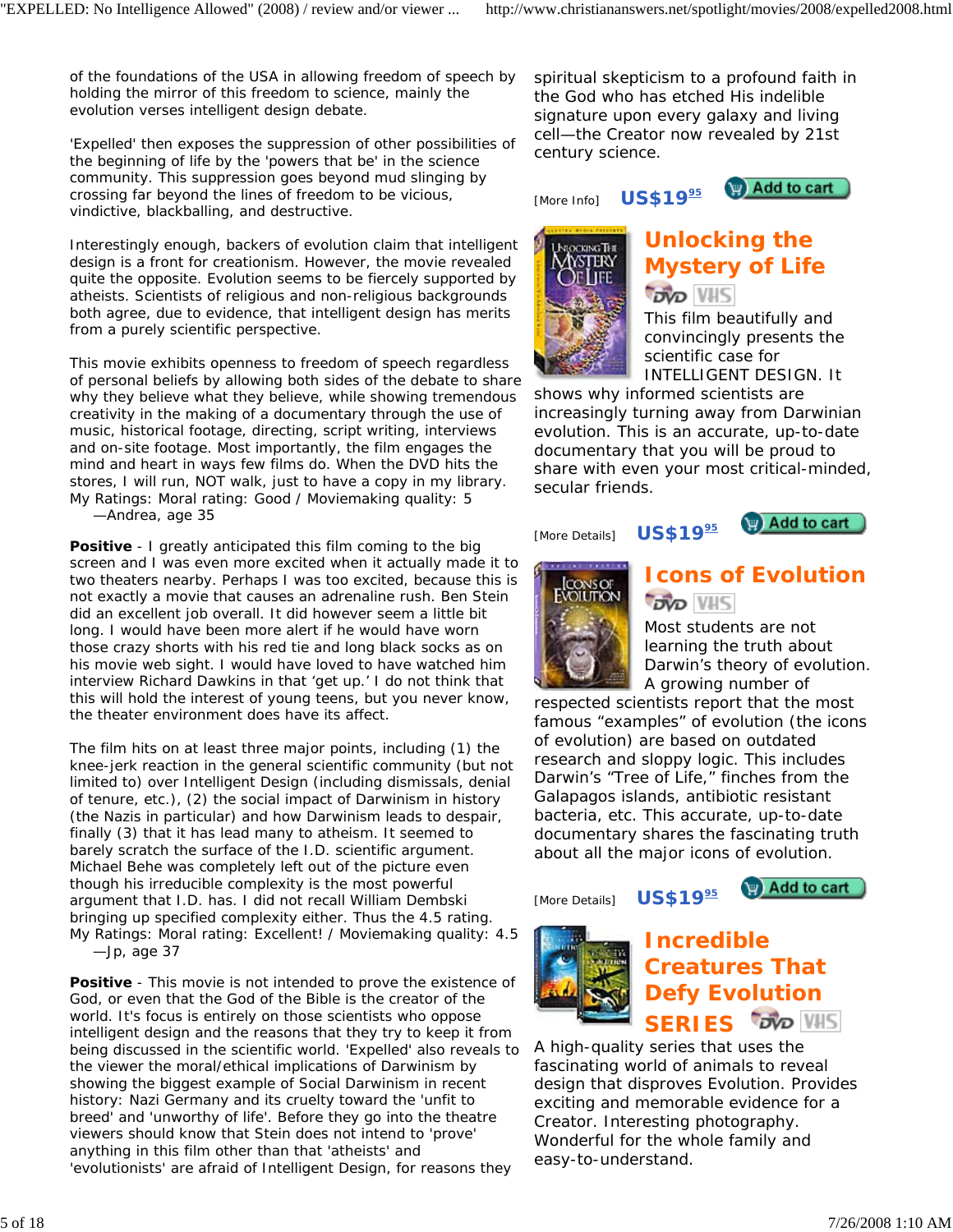of the foundations of the USA in allowing freedom of speech by holding the mirror of this freedom to science, mainly the evolution verses intelligent design debate.

'Expelled' then exposes the suppression of other possibilities of the beginning of life by the 'powers that be' in the science community. This suppression goes beyond mud slinging by crossing far beyond the lines of freedom to be vicious, vindictive, blackballing, and destructive.

Interestingly enough, backers of evolution claim that intelligent design is a front for creationism. However, the movie revealed quite the opposite. Evolution seems to be fiercely supported by atheists. Scientists of religious and non-religious backgrounds both agree, due to evidence, that intelligent design has merits from a purely scientific perspective.

This movie exhibits openness to freedom of speech regardless of personal beliefs by allowing both sides of the debate to share why they believe what they believe, while showing tremendous creativity in the making of a documentary through the use of music, historical footage, directing, script writing, interviews and on-site footage. Most importantly, the film engages the mind and heart in ways few films do. When the DVD hits the stores, I will run, NOT walk, just to have a copy in my library. *My Ratings:* Moral rating: Good / Moviemaking quality: 5 *—Andrea, age 35*

**Positive** - I greatly anticipated this film coming to the big screen and I was even more excited when it actually made it to two theaters nearby. Perhaps I was too excited, because this is not exactly a movie that causes an adrenaline rush. Ben Stein did an excellent job overall. It did however seem a little bit long. I would have been more alert if he would have worn those crazy shorts with his red tie and long black socks as on his movie web sight. I would have loved to have watched him interview Richard Dawkins in that 'get up.' I do not think that this will hold the interest of young teens, but you never know, the theater environment does have its affect.

The film hits on at least three major points, including (1) the knee-jerk reaction in the general scientific community (but not limited to) over Intelligent Design (including dismissals, denial of tenure, etc.), (2) the social impact of Darwinism in history (the Nazis in particular) and how Darwinism leads to despair, finally (3) that it has lead many to atheism. It seemed to barely scratch the surface of the I.D. scientific argument. Michael Behe was completely left out of the picture even though his irreducible complexity is the most powerful argument that I.D. has. I did not recall William Dembski bringing up specified complexity either. Thus the 4.5 rating. *My Ratings:* Moral rating: Excellent! / Moviemaking quality: 4.5 *—Jp, age 37*

**Positive** - This movie is not intended to prove the existence of God, or even that the God of the Bible is the creator of the world. It's focus is entirely on those scientists who oppose intelligent design and the reasons that they try to keep it from being discussed in the scientific world. 'Expelled' also reveals to the viewer the moral/ethical implications of Darwinism by showing the biggest example of Social Darwinism in recent history: Nazi Germany and its cruelty toward the 'unfit to breed' and 'unworthy of life'. Before they go into the theatre viewers should know that Stein does not intend to 'prove' anything in this film other than that 'atheists' and 'evolutionists' are afraid of Intelligent Design, for reasons they

spiritual skepticism to a profound faith in the God who has etched His indelible signature upon every galaxy and living cell—the Creator now revealed by 21st century science.

[More Info] **US\$19**<sup>95</sup>





# **Unlocking the Mystery of Life DVD VHS**

This film beautifully and convincingly presents the scientific case for INTELLIGENT DESIGN. It

shows why informed scientists are increasingly turning away from Darwinian evolution. This is an accurate, up-to-date documentary that you will be proud to share with even your most critical-minded, secular friends.

[More Details] **US\$19**<sup>95</sup>





# **Icons of Evolution DVD VHS**

Most students are not learning the truth about Darwin's theory of evolution. A growing number of

respected scientists report that the most famous "examples" of evolution (the icons of evolution) are based on outdated research and sloppy logic. This includes Darwin's "Tree of Life," finches from the Galapagos islands, antibiotic resistant bacteria, etc. This accurate, up-to-date documentary shares the fascinating truth about all the major icons of evolution.

[More Details] **US\$19**<sup>95</sup>

Add to cart



#### **Incredible Creatures That Defy Evolution DVD VHS SERIES**

A high-quality series that uses the fascinating world of animals to reveal design that disproves Evolution. Provides exciting and memorable evidence for a Creator. Interesting photography. Wonderful for the whole family and easy-to-understand.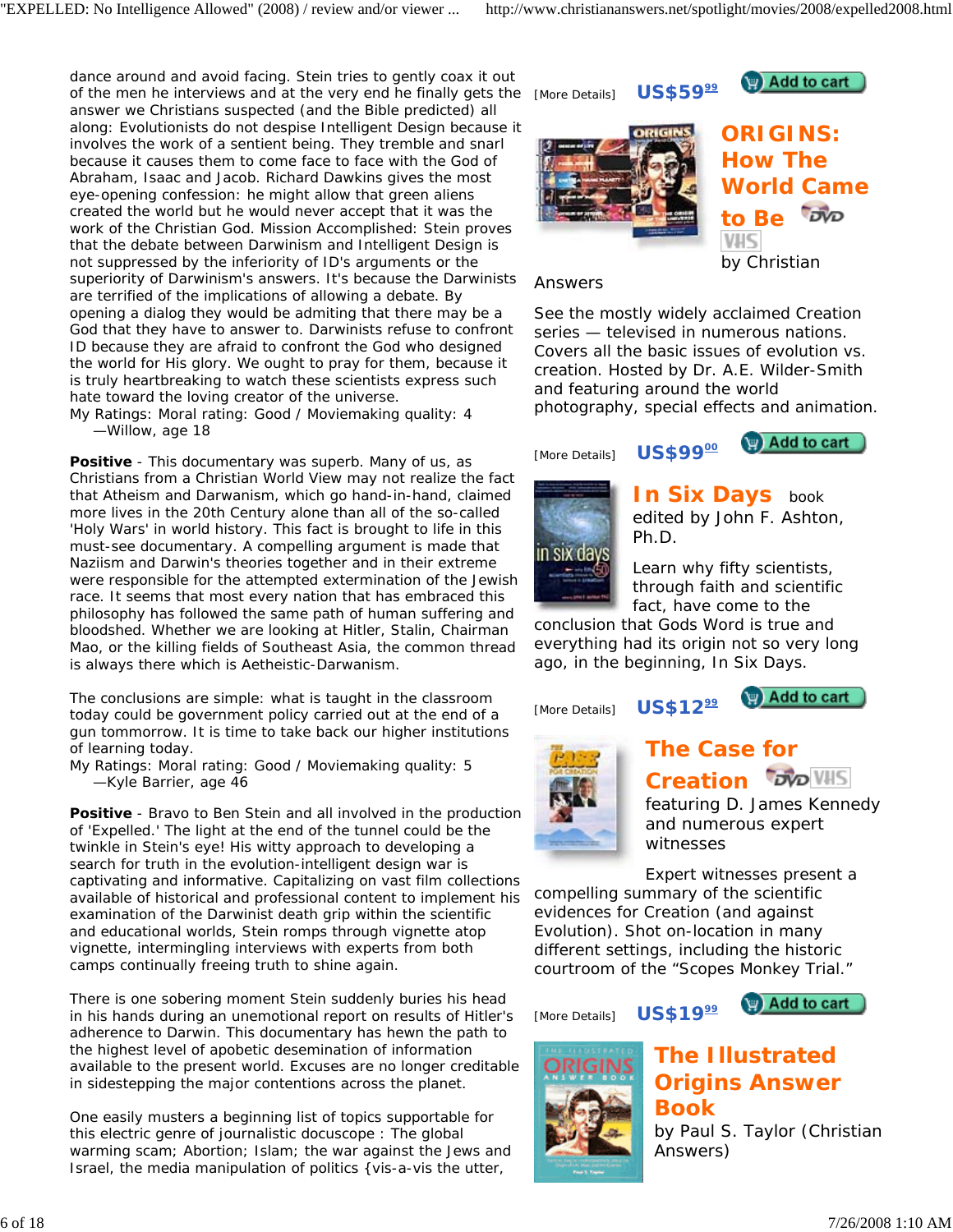dance around and avoid facing. Stein tries to gently coax it out of the men he interviews and at the very end he finally gets the answer we Christians suspected (and the Bible predicted) all along: Evolutionists do not despise Intelligent Design because it involves the work of a sentient being. They tremble and snarl because it causes them to come face to face with the God of Abraham, Isaac and Jacob. Richard Dawkins gives the most eye-opening confession: he might allow that green aliens created the world but he would never accept that it was the work of the Christian God. Mission Accomplished: Stein proves that the debate between Darwinism and Intelligent Design is not suppressed by the inferiority of ID's arguments or the superiority of Darwinism's answers. It's because the Darwinists are terrified of the implications of allowing a debate. By opening a dialog they would be admiting that there may be a God that they have to answer to. Darwinists refuse to confront ID because they are afraid to confront the God who designed the world for His glory. We ought to pray for them, because it is truly heartbreaking to watch these scientists express such hate toward the loving creator of the universe.

*My Ratings:* Moral rating: Good / Moviemaking quality: 4 *—Willow, age 18*

**Positive** - This documentary was superb. Many of us, as Christians from a Christian World View may not realize the fact that Atheism and Darwanism, which go hand-in-hand, claimed more lives in the 20th Century alone than all of the so-called 'Holy Wars' in world history. This fact is brought to life in this must-see documentary. A compelling argument is made that Naziism and Darwin's theories together and in their extreme were responsible for the attempted extermination of the Jewish race. It seems that most every nation that has embraced this philosophy has followed the same path of human suffering and bloodshed. Whether we are looking at Hitler, Stalin, Chairman Mao, or the killing fields of Southeast Asia, the common thread is always there which is Aetheistic-Darwanism.

The conclusions are simple: what is taught in the classroom today could be government policy carried out at the end of a gun tommorrow. It is time to take back our higher institutions of learning today.

*My Ratings:* Moral rating: Good / Moviemaking quality: 5 *—Kyle Barrier, age 46*

**Positive** - Bravo to Ben Stein and all involved in the production of 'Expelled.' The light at the end of the tunnel could be the twinkle in Stein's eye! His witty approach to developing a search for truth in the evolution-intelligent design war is captivating and informative. Capitalizing on vast film collections available of historical and professional content to implement his examination of the Darwinist death grip within the scientific and educational worlds, Stein romps through vignette atop vignette, intermingling interviews with experts from both camps continually freeing truth to shine again.

There is one sobering moment Stein suddenly buries his head in his hands during an unemotional report on results of Hitler's adherence to Darwin. This documentary has hewn the path to the highest level of apobetic desemination of information available to the present world. Excuses are no longer creditable in sidestepping the major contentions across the planet.

One easily musters a beginning list of topics supportable for this electric genre of journalistic docuscope : The global warming scam; Abortion; Islam; the war against the Jews and Israel, the media manipulation of politics {vis-a-vis the utter,

[More Details] **US\$59**<sup>99</sup>





**ORIGINS: How The World Came**   $\overline{op}$ **to Be VHS** *by Christian* 

#### *Answers*

See the mostly widely acclaimed Creation series — televised in numerous nations. Covers all the basic issues of evolution vs. creation. Hosted by Dr. A.E. Wilder-Smith and featuring around the world photography, special effects and animation.

[More Details] **US\$99**<sup>00</sup>





**In Six Days** book *edited by John F. Ashton, Ph.D.*

Learn why fifty scientists, through faith and scientific fact, have come to the

conclusion that Gods Word is true and everything had its origin not so very long ago, in the beginning, *In Six Days*.

[More Details] **US\$12**<sup>99</sup>

**P** Add to cart



# **The Case for Creation** *DVD* VHS

*featuring D. James Kennedy and numerous expert witnesses*

Expert witnesses present a compelling summary of the scientific evidences for Creation (and against Evolution). Shot on-location in many different settings, including the historic courtroom of the "Scopes Monkey Trial."

[More Details] **US\$19**<sup>99</sup>

**P** Add to cart



#### **The Illustrated Origins Answer Book** *by Paul S. Taylor (Christian Answers)*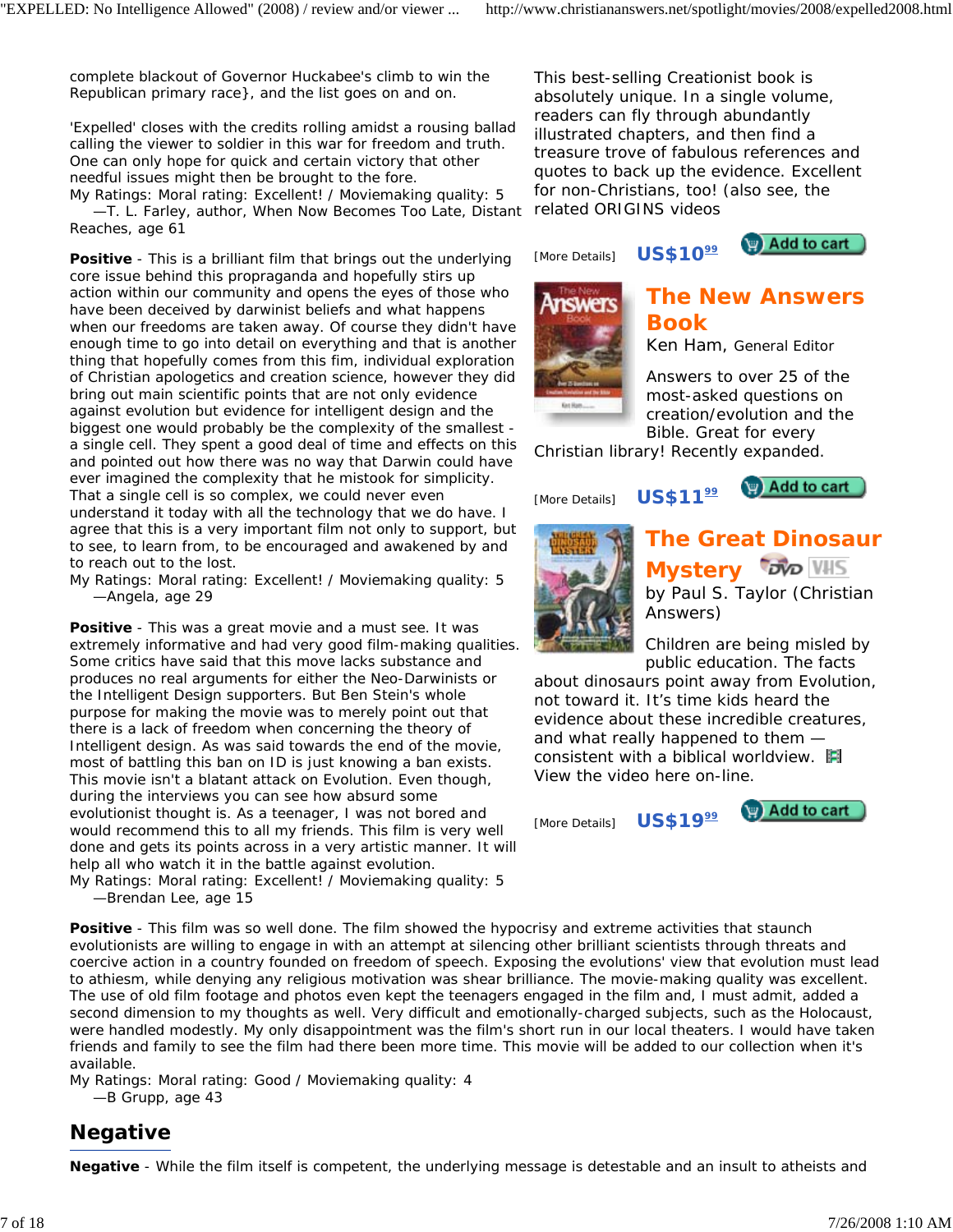complete blackout of Governor Huckabee's climb to win the Republican primary race}, and the list goes on and on.

'Expelled' closes with the credits rolling amidst a rousing ballad calling the viewer to soldier in this war for freedom and truth. One can only hope for quick and certain victory that other needful issues might then be brought to the fore.

*My Ratings:* Moral rating: Excellent! / Moviemaking quality: 5 *—T. L. Farley, author, When Now Becomes Too Late, Distant Reaches, age 61*

**Positive** - This is a brilliant film that brings out the underlying core issue behind this propraganda and hopefully stirs up action within our community and opens the eyes of those who have been deceived by darwinist beliefs and what happens when our freedoms are taken away. Of course they didn't have enough time to go into detail on everything and that is another thing that hopefully comes from this fim, individual exploration of Christian apologetics and creation science, however they did bring out main scientific points that are not only evidence against evolution but evidence for intelligent design and the biggest one would probably be the complexity of the smallest a single cell. They spent a good deal of time and effects on this and pointed out how there was no way that Darwin could have ever imagined the complexity that he mistook for simplicity. That a single cell is so complex, we could never even understand it today with all the technology that we do have. I agree that this is a very important film not only to support, but to see, to learn from, to be encouraged and awakened by and to reach out to the lost.

*My Ratings:* Moral rating: Excellent! / Moviemaking quality: 5 *—Angela, age 29*

**Positive** - This was a great movie and a must see. It was extremely informative and had very good film-making qualities. Some critics have said that this move lacks substance and produces no real arguments for either the Neo-Darwinists or the Intelligent Design supporters. But Ben Stein's whole purpose for making the movie was to merely point out that there is a lack of freedom when concerning the theory of Intelligent design. As was said towards the end of the movie, most of battling this ban on ID is just knowing a ban exists. This movie isn't a blatant attack on Evolution. Even though, during the interviews you can see how absurd some evolutionist thought is. As a teenager, I was not bored and would recommend this to all my friends. This film is very well done and gets its points across in a very artistic manner. It will help all who watch it in the battle against evolution.

*My Ratings:* Moral rating: Excellent! / Moviemaking quality: 5 *—Brendan Lee, age 15*

This best-selling Creationist book is absolutely unique. In a single volume, readers can fly through abundantly illustrated chapters, and then find a treasure trove of fabulous references and quotes to back up the evidence. Excellent for non-Christians, too! (also see, the related ORIGINS videos

[More Details] **US\$10**<sup>99</sup>

Add to cart



# **The New Answers Book**

*Ken Ham, General Editor*

Answers to over 25 of the most-asked questions on creation/evolution and the Bible. Great for every

Christian library! Recently expanded.

[More Details] **US\$11**<sup>99</sup>

**P** Add to cart



**The Great Dinosaur Mystery** *DVD* **WIS** *by Paul S. Taylor (Christian Answers)*

Children are being misled by public education. The facts

about dinosaurs point away from Evolution, not toward it. It's time kids heard the evidence about these incredible creatures, and what really happened to them consistent with a biblical worldview. View the video here on-line.

[More Details] **US\$1999**



**Positive** - This film was so well done. The film showed the hypocrisy and extreme activities that staunch evolutionists are willing to engage in with an attempt at silencing other brilliant scientists through threats and coercive action in a country founded on freedom of speech. Exposing the evolutions' view that evolution must lead to athiesm, while denying any religious motivation was shear brilliance. The movie-making quality was excellent. The use of old film footage and photos even kept the teenagers engaged in the film and, I must admit, added a second dimension to my thoughts as well. Very difficult and emotionally-charged subjects, such as the Holocaust, were handled modestly. My only disappointment was the film's short run in our local theaters. I would have taken friends and family to see the film had there been more time. This movie will be added to our collection when it's available.

*My Ratings:* Moral rating: Good / Moviemaking quality: 4 *—B Grupp, age 43*

# **Negative**

**Negative** - While the film itself is competent, the underlying message is detestable and an insult to atheists and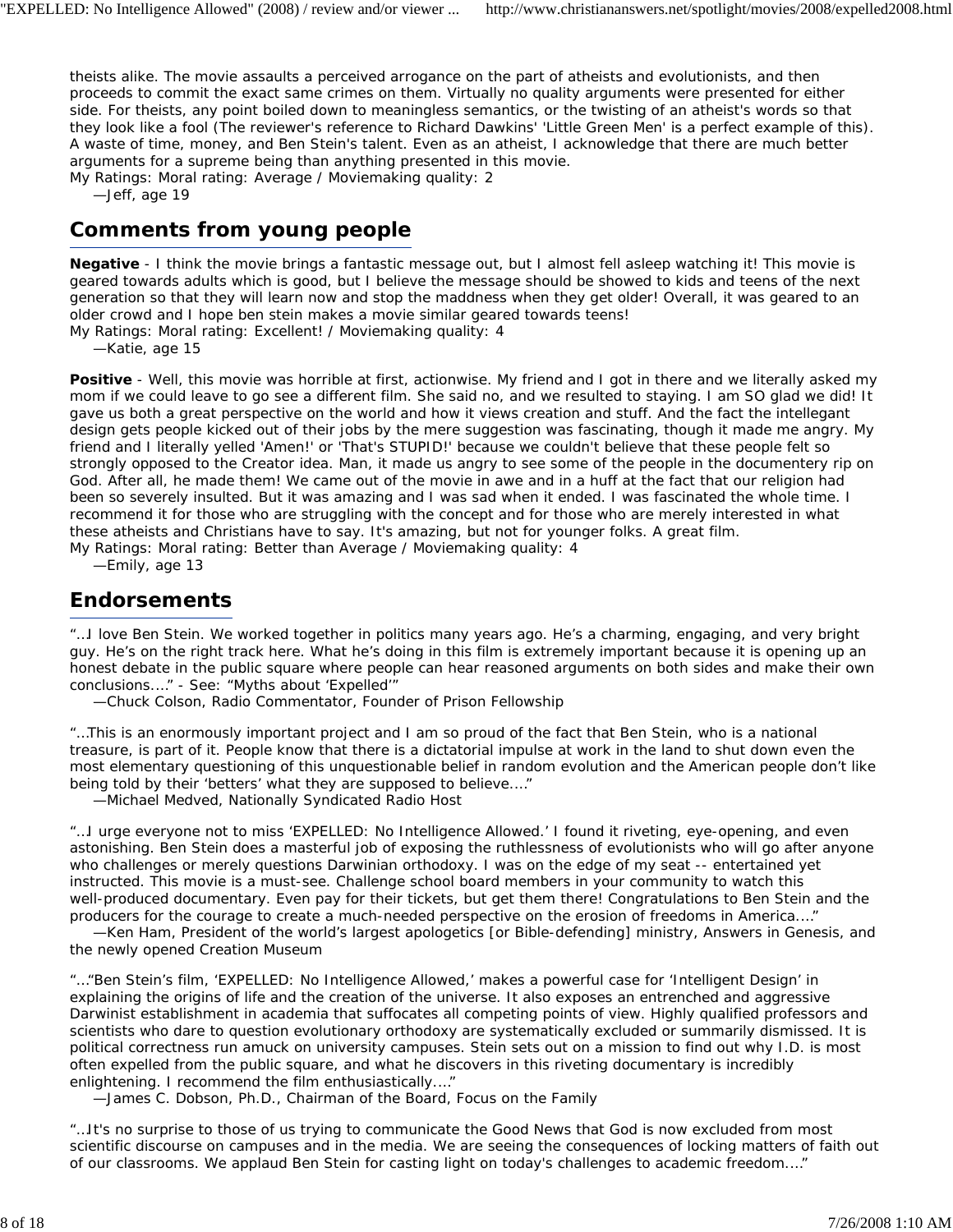theists alike. The movie assaults a perceived arrogance on the part of atheists and evolutionists, and then proceeds to commit the exact same crimes on them. Virtually no quality arguments were presented for either side. For theists, any point boiled down to meaningless semantics, or the twisting of an atheist's words so that they look like a fool (The reviewer's reference to Richard Dawkins' 'Little Green Men' is a perfect example of this). A waste of time, money, and Ben Stein's talent. Even as an atheist, I acknowledge that there are much better arguments for a supreme being than anything presented in this movie.

*My Ratings:* Moral rating: Average / Moviemaking quality: 2

*—Jeff, age 19*

## **Comments from young people**

**Negative** - I think the movie brings a fantastic message out, but I almost fell asleep watching it! This movie is geared towards adults which is good, but I believe the message should be showed to kids and teens of the next generation so that they will learn now and stop the maddness when they get older! Overall, it was geared to an older crowd and I hope ben stein makes a movie similar geared towards teens!

*My Ratings:* Moral rating: Excellent! / Moviemaking quality: 4

*—Katie, age 15*

**Positive** - Well, this movie was horrible at first, actionwise. My friend and I got in there and we literally asked my mom if we could leave to go see a different film. She said no, and we resulted to staying. I am SO glad we did! It gave us both a great perspective on the world and how it views creation and stuff. And the fact the intellegant design gets people kicked out of their jobs by the mere suggestion was fascinating, though it made me angry. My friend and I literally yelled 'Amen!' or 'That's STUPID!' because we couldn't believe that these people felt so strongly opposed to the Creator idea. Man, it made us angry to see some of the people in the documentery rip on God. After all, he made them! We came out of the movie in awe and in a huff at the fact that our religion had been so severely insulted. But it was amazing and I was sad when it ended. I was fascinated the whole time. I recommend it for those who are struggling with the concept and for those who are merely interested in what these atheists and Christians have to say. It's amazing, but not for younger folks. A great film. *My Ratings:* Moral rating: Better than Average / Moviemaking quality: 4

*—Emily, age 13*

#### **Endorsements**

"…I love Ben Stein. We worked together in politics many years ago. He's a charming, engaging, and very bright guy. He's on the right track here. What he's doing in this film is extremely important because it is opening up an honest debate in the public square where people can hear reasoned arguments on both sides and make their own conclusions.…" - See: "Myths about 'Expelled'"

*—Chuck Colson, Radio Commentator, Founder of Prison Fellowship*

"…This is an enormously important project and I am so proud of the fact that Ben Stein, who is a national treasure, is part of it. People know that there is a dictatorial impulse at work in the land to shut down even the most elementary questioning of this unquestionable belief in random evolution and the American people don't like being told by their 'betters' what they are supposed to believe.…"

*—Michael Medved, Nationally Syndicated Radio Host*

"…I urge everyone not to miss 'EXPELLED: No Intelligence Allowed.' I found it riveting, eye-opening, and even astonishing. Ben Stein does a masterful job of exposing the ruthlessness of evolutionists who will go after anyone who challenges or merely questions Darwinian orthodoxy. I was on the edge of my seat -- entertained yet instructed. This movie is a must-see. Challenge school board members in your community to watch this well-produced documentary. Even pay for their tickets, but get them there! Congratulations to Ben Stein and the producers for the courage to create a much-needed perspective on the erosion of freedoms in America.…"

*—Ken Ham, President of the world's largest apologetics [or Bible-defending] ministry, Answers in Genesis, and the newly opened Creation Museum*

"…"Ben Stein's film, 'EXPELLED: No Intelligence Allowed,' makes a powerful case for 'Intelligent Design' in explaining the origins of life and the creation of the universe. It also exposes an entrenched and aggressive Darwinist establishment in academia that suffocates all competing points of view. Highly qualified professors and scientists who dare to question evolutionary orthodoxy are systematically excluded or summarily dismissed. It is political correctness run amuck on university campuses. Stein sets out on a mission to find out why I.D. is most often expelled from the public square, and what he discovers in this riveting documentary is incredibly enlightening. I recommend the film enthusiastically.…"

*—James C. Dobson, Ph.D., Chairman of the Board, Focus on the Family*

"…It's no surprise to those of us trying to communicate the Good News that God is now excluded from most scientific discourse on campuses and in the media. We are seeing the consequences of locking matters of faith out of our classrooms. We applaud Ben Stein for casting light on today's challenges to academic freedom.…"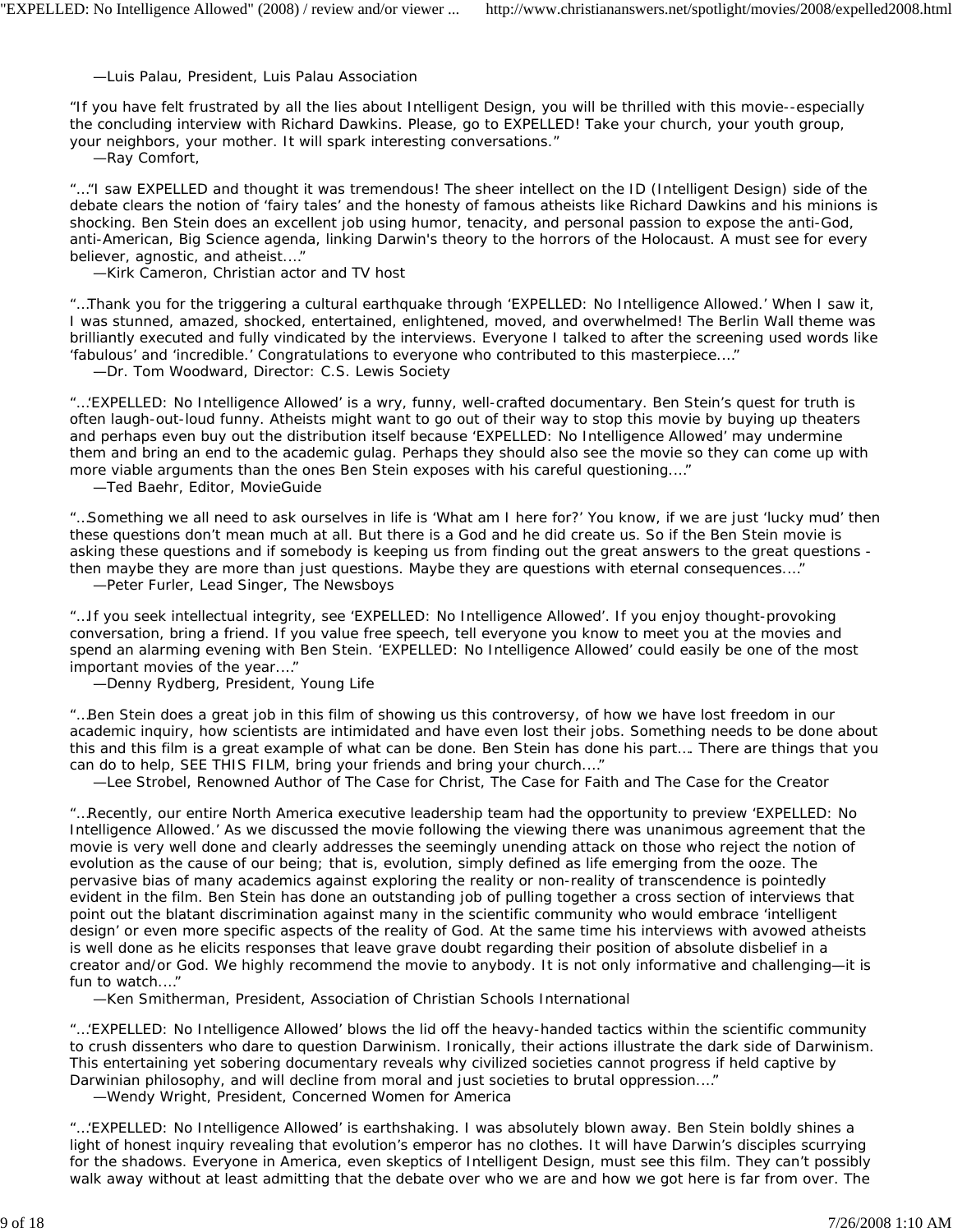#### *—Luis Palau, President, Luis Palau Association*

"If you have felt frustrated by all the lies about Intelligent Design, you will be thrilled with this movie--especially the concluding interview with Richard Dawkins. Please, go to EXPELLED! Take your church, your youth group, your neighbors, your mother. It will spark interesting conversations."

*—Ray Comfort,*

"…"I saw EXPELLED and thought it was tremendous! The sheer intellect on the ID (Intelligent Design) side of the debate clears the notion of 'fairy tales' and the honesty of famous atheists like Richard Dawkins and his minions is shocking. Ben Stein does an excellent job using humor, tenacity, and personal passion to expose the anti-God, anti-American, Big Science agenda, linking Darwin's theory to the horrors of the Holocaust. A must see for every believer, agnostic, and atheist.…"

*—Kirk Cameron, Christian actor and TV host*

"…Thank you for the triggering a cultural earthquake through 'EXPELLED: No Intelligence Allowed.' When I saw it, I was stunned, amazed, shocked, entertained, enlightened, moved, and overwhelmed! The Berlin Wall theme was brilliantly executed and fully vindicated by the interviews. Everyone I talked to after the screening used words like 'fabulous' and 'incredible.' Congratulations to everyone who contributed to this masterpiece.…"

*—Dr. Tom Woodward, Director: C.S. Lewis Society*

"…'EXPELLED: No Intelligence Allowed' is a wry, funny, well-crafted documentary. Ben Stein's quest for truth is often laugh-out-loud funny. Atheists might want to go out of their way to stop this movie by buying up theaters and perhaps even buy out the distribution itself because 'EXPELLED: No Intelligence Allowed' may undermine them and bring an end to the academic gulag. Perhaps they should also see the movie so they can come up with more viable arguments than the ones Ben Stein exposes with his careful questioning.…"

*—Ted Baehr, Editor, MovieGuide*

"…Something we all need to ask ourselves in life is 'What am I here for?' You know, if we are just 'lucky mud' then these questions don't mean much at all. But there is a God and he did create us. So if the Ben Stein movie is asking these questions and if somebody is keeping us from finding out the great answers to the great questions then maybe they are more than just questions. Maybe they are questions with eternal consequences.…" *—Peter Furler, Lead Singer, The Newsboys*

"…If you seek intellectual integrity, see 'EXPELLED: No Intelligence Allowed'. If you enjoy thought-provoking conversation, bring a friend. If you value free speech, tell everyone you know to meet you at the movies and spend an alarming evening with Ben Stein. 'EXPELLED: No Intelligence Allowed' could easily be one of the most important movies of the year.…"

*—Denny Rydberg, President, Young Life*

"…Ben Stein does a great job in this film of showing us this controversy, of how we have lost freedom in our academic inquiry, how scientists are intimidated and have even lost their jobs. Something needs to be done about this and this film is a great example of what can be done. Ben Stein has done his part…. There are things that you can do to help, SEE THIS FILM, bring your friends and bring your church.…"

*—Lee Strobel, Renowned Author of The Case for Christ, The Case for Faith and The Case for the Creator*

"…Recently, our entire North America executive leadership team had the opportunity to preview 'EXPELLED: No Intelligence Allowed.' As we discussed the movie following the viewing there was unanimous agreement that the movie is very well done and clearly addresses the seemingly unending attack on those who reject the notion of evolution as the cause of our being; that is, evolution, simply defined as life emerging from the ooze. The pervasive bias of many academics against exploring the reality or non-reality of transcendence is pointedly evident in the film. Ben Stein has done an outstanding job of pulling together a cross section of interviews that point out the blatant discrimination against many in the scientific community who would embrace 'intelligent design' or even more specific aspects of the reality of God. At the same time his interviews with avowed atheists is well done as he elicits responses that leave grave doubt regarding their position of absolute disbelief in a creator and/or God. We highly recommend the movie to anybody. It is not only informative and challenging—it is fun to watch.…"

*—Ken Smitherman, President, Association of Christian Schools International*

"…'EXPELLED: No Intelligence Allowed' blows the lid off the heavy-handed tactics within the scientific community to crush dissenters who dare to question Darwinism. Ironically, their actions illustrate the dark side of Darwinism. This entertaining yet sobering documentary reveals why civilized societies cannot progress if held captive by Darwinian philosophy, and will decline from moral and just societies to brutal oppression.…"

*—Wendy Wright, President, Concerned Women for America*

"…'EXPELLED: No Intelligence Allowed' is earthshaking. I was absolutely blown away. Ben Stein boldly shines a light of honest inquiry revealing that evolution's emperor has no clothes. It will have Darwin's disciples scurrying for the shadows. Everyone in America, even skeptics of Intelligent Design, must see this film. They can't possibly walk away without at least admitting that the debate over who we are and how we got here is far from over. The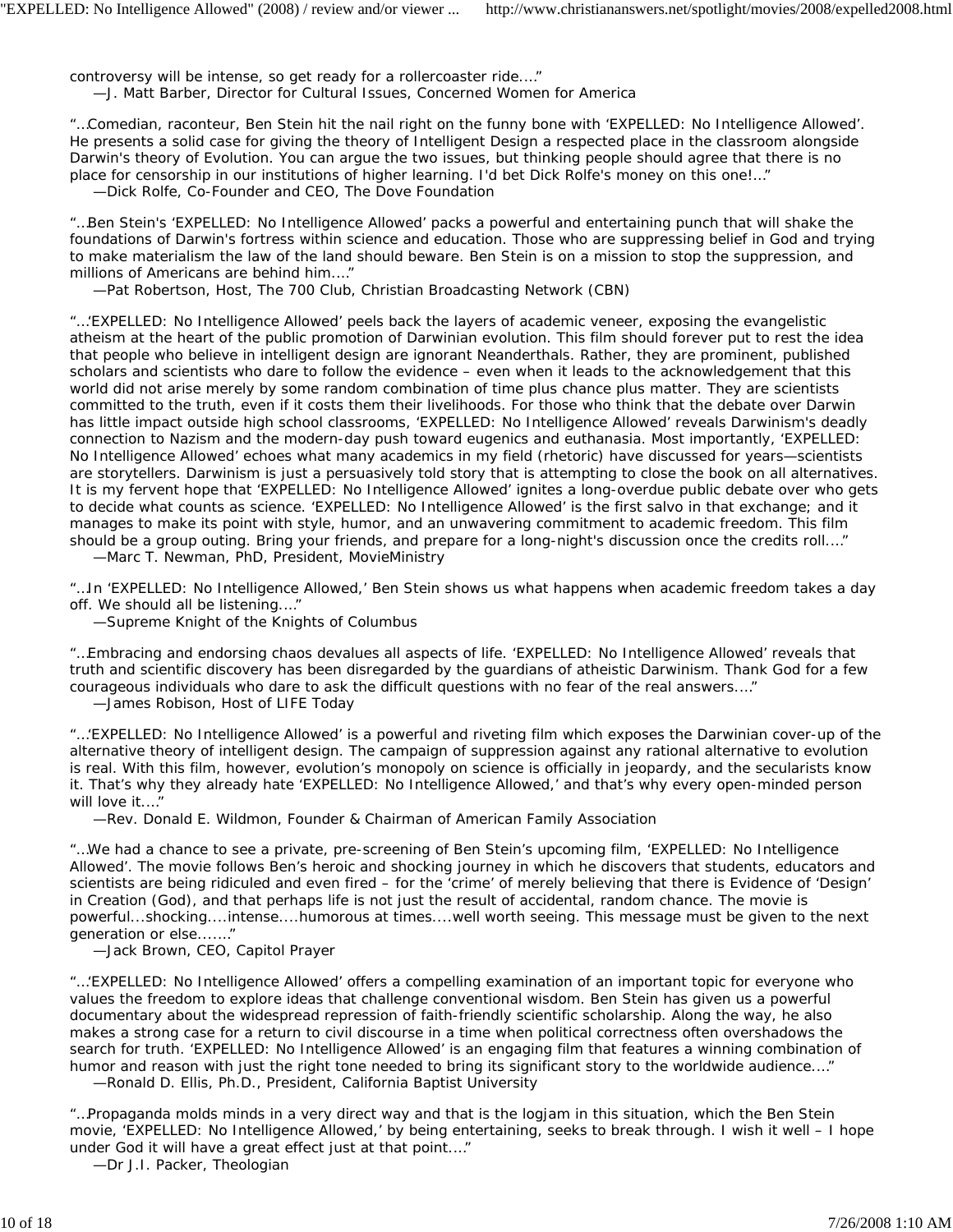controversy will be intense, so get ready for a rollercoaster ride.…" *—J. Matt Barber, Director for Cultural Issues, Concerned Women for America*

"…Comedian, raconteur, Ben Stein hit the nail right on the funny bone with 'EXPELLED: No Intelligence Allowed'. He presents a solid case for giving the theory of Intelligent Design a respected place in the classroom alongside Darwin's theory of Evolution. You can argue the two issues, but thinking people should agree that there is no place for censorship in our institutions of higher learning. I'd bet Dick Rolfe's money on this one!…" *—Dick Rolfe, Co-Founder and CEO, The Dove Foundation*

"…Ben Stein's 'EXPELLED: No Intelligence Allowed' packs a powerful and entertaining punch that will shake the foundations of Darwin's fortress within science and education. Those who are suppressing belief in God and trying to make materialism the law of the land should beware. Ben Stein is on a mission to stop the suppression, and millions of Americans are behind him.…"

*—Pat Robertson, Host, The 700 Club, Christian Broadcasting Network (CBN)*

"…'EXPELLED: No Intelligence Allowed' peels back the layers of academic veneer, exposing the evangelistic atheism at the heart of the public promotion of Darwinian evolution. This film should forever put to rest the idea that people who believe in intelligent design are ignorant Neanderthals. Rather, they are prominent, published scholars and scientists who dare to follow the evidence – even when it leads to the acknowledgement that this world did not arise merely by some random combination of time plus chance plus matter. They are scientists committed to the truth, even if it costs them their livelihoods. For those who think that the debate over Darwin has little impact outside high school classrooms, 'EXPELLED: No Intelligence Allowed' reveals Darwinism's deadly connection to Nazism and the modern-day push toward eugenics and euthanasia. Most importantly, 'EXPELLED: No Intelligence Allowed' echoes what many academics in my field (rhetoric) have discussed for years—scientists are storytellers. Darwinism is just a persuasively told story that is attempting to close the book on all alternatives. It is my fervent hope that 'EXPELLED: No Intelligence Allowed' ignites a long-overdue public debate over who gets to decide what counts as science. 'EXPELLED: No Intelligence Allowed' is the first salvo in that exchange; and it manages to make its point with style, humor, and an unwavering commitment to academic freedom. This film should be a group outing. Bring your friends, and prepare for a long-night's discussion once the credits roll.…"

*—Marc T. Newman, PhD, President, MovieMinistry*

"…In 'EXPELLED: No Intelligence Allowed,' Ben Stein shows us what happens when academic freedom takes a day off. We should all be listening.…"

*—Supreme Knight of the Knights of Columbus*

"…Embracing and endorsing chaos devalues all aspects of life. 'EXPELLED: No Intelligence Allowed' reveals that truth and scientific discovery has been disregarded by the guardians of atheistic Darwinism. Thank God for a few courageous individuals who dare to ask the difficult questions with no fear of the real answers.…" *—James Robison, Host of LIFE Today*

"…'EXPELLED: No Intelligence Allowed' is a powerful and riveting film which exposes the Darwinian cover-up of the alternative theory of intelligent design. The campaign of suppression against any rational alternative to evolution is real. With this film, however, evolution's monopoly on science is officially in jeopardy, and the secularists know it. That's why they already hate 'EXPELLED: No Intelligence Allowed,' and that's why every open-minded person will love it.…"

*—Rev. Donald E. Wildmon, Founder & Chairman of American Family Association*

"…We had a chance to see a private, pre-screening of Ben Stein's upcoming film, 'EXPELLED: No Intelligence Allowed'. The movie follows Ben's heroic and shocking journey in which he discovers that students, educators and scientists are being ridiculed and even fired – for the 'crime' of merely believing that there is Evidence of 'Design' in Creation (God), and that perhaps life is not just the result of accidental, random chance. The movie is powerful...shocking....intense....humorous at times....well worth seeing. This message must be given to the next generation or else....…"

*—Jack Brown, CEO, Capitol Prayer*

"…'EXPELLED: No Intelligence Allowed' offers a compelling examination of an important topic for everyone who values the freedom to explore ideas that challenge conventional wisdom. Ben Stein has given us a powerful documentary about the widespread repression of faith-friendly scientific scholarship. Along the way, he also makes a strong case for a return to civil discourse in a time when political correctness often overshadows the search for truth. 'EXPELLED: No Intelligence Allowed' is an engaging film that features a winning combination of humor and reason with just the right tone needed to bring its significant story to the worldwide audience.…" *—Ronald D. Ellis, Ph.D., President, California Baptist University*

"…Propaganda molds minds in a very direct way and that is the logjam in this situation, which the Ben Stein movie, 'EXPELLED: No Intelligence Allowed,' by being entertaining, seeks to break through. I wish it well – I hope under God it will have a great effect just at that point.…"

*—Dr J.I. Packer, Theologian*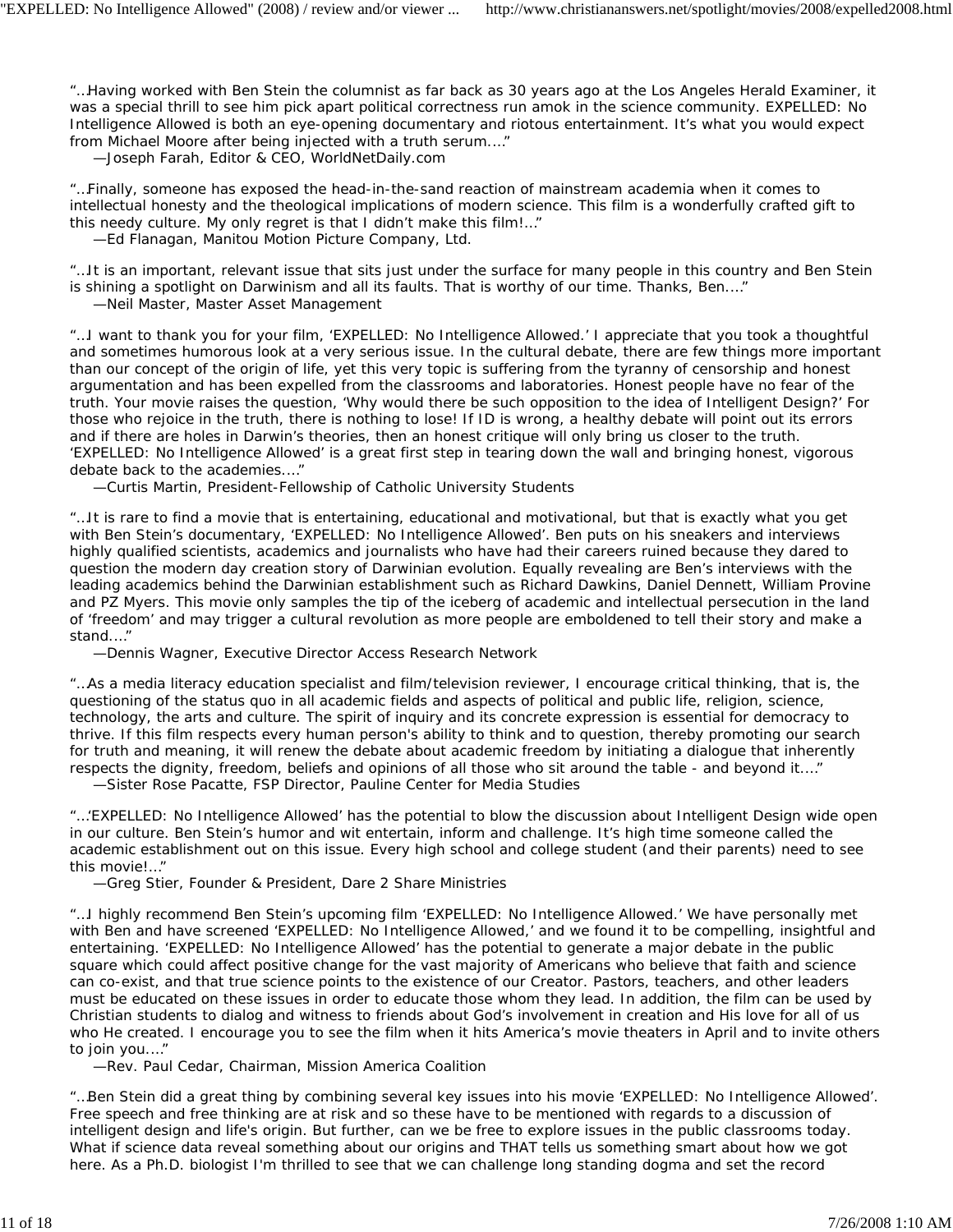"…Having worked with Ben Stein the columnist as far back as 30 years ago at the Los Angeles Herald Examiner, it was a special thrill to see him pick apart political correctness run amok in the science community. EXPELLED: No Intelligence Allowed is both an eye-opening documentary and riotous entertainment. It's what you would expect from Michael Moore after being injected with a truth serum.…"

*—Joseph Farah, Editor & CEO, WorldNetDaily.com*

"…Finally, someone has exposed the head-in-the-sand reaction of mainstream academia when it comes to intellectual honesty and the theological implications of modern science. This film is a wonderfully crafted gift to this needy culture. My only regret is that I didn't make this film!…" *—Ed Flanagan, Manitou Motion Picture Company, Ltd.*

"…It is an important, relevant issue that sits just under the surface for many people in this country and Ben Stein is shining a spotlight on Darwinism and all its faults. That is worthy of our time. Thanks, Ben.…" *—Neil Master, Master Asset Management*

"…I want to thank you for your film, 'EXPELLED: No Intelligence Allowed.' I appreciate that you took a thoughtful and sometimes humorous look at a very serious issue. In the cultural debate, there are few things more important than our concept of the origin of life, yet this very topic is suffering from the tyranny of censorship and honest argumentation and has been expelled from the classrooms and laboratories. Honest people have no fear of the truth. Your movie raises the question, 'Why would there be such opposition to the idea of Intelligent Design?' For those who rejoice in the truth, there is nothing to lose! If ID is wrong, a healthy debate will point out its errors and if there are holes in Darwin's theories, then an honest critique will only bring us closer to the truth. 'EXPELLED: No Intelligence Allowed' is a great first step in tearing down the wall and bringing honest, vigorous debate back to the academies.…"

*—Curtis Martin, President-Fellowship of Catholic University Students*

"…It is rare to find a movie that is entertaining, educational and motivational, but that is exactly what you get with Ben Stein's documentary, 'EXPELLED: No Intelligence Allowed'. Ben puts on his sneakers and interviews highly qualified scientists, academics and journalists who have had their careers ruined because they dared to question the modern day creation story of Darwinian evolution. Equally revealing are Ben's interviews with the leading academics behind the Darwinian establishment such as Richard Dawkins, Daniel Dennett, William Provine and PZ Myers. This movie only samples the tip of the iceberg of academic and intellectual persecution in the land of 'freedom' and may trigger a cultural revolution as more people are emboldened to tell their story and make a stand.…"

*—Dennis Wagner, Executive Director Access Research Network*

"…As a media literacy education specialist and film/television reviewer, I encourage critical thinking, that is, the questioning of the status quo in all academic fields and aspects of political and public life, religion, science, technology, the arts and culture. The spirit of inquiry and its concrete expression is essential for democracy to thrive. If this film respects every human person's ability to think and to question, thereby promoting our search for truth and meaning, it will renew the debate about academic freedom by initiating a dialogue that inherently respects the dignity, freedom, beliefs and opinions of all those who sit around the table - and beyond it.…"

*—Sister Rose Pacatte, FSP Director, Pauline Center for Media Studies*

"…'EXPELLED: No Intelligence Allowed' has the potential to blow the discussion about Intelligent Design wide open in our culture. Ben Stein's humor and wit entertain, inform and challenge. It's high time someone called the academic establishment out on this issue. Every high school and college student (and their parents) need to see this movie!…"

*—Greg Stier, Founder & President, Dare 2 Share Ministries*

"…I highly recommend Ben Stein's upcoming film 'EXPELLED: No Intelligence Allowed.' We have personally met with Ben and have screened 'EXPELLED: No Intelligence Allowed,' and we found it to be compelling, insightful and entertaining. 'EXPELLED: No Intelligence Allowed' has the potential to generate a major debate in the public square which could affect positive change for the vast majority of Americans who believe that faith and science can co-exist, and that true science points to the existence of our Creator. Pastors, teachers, and other leaders must be educated on these issues in order to educate those whom they lead. In addition, the film can be used by Christian students to dialog and witness to friends about God's involvement in creation and His love for all of us who He created. I encourage you to see the film when it hits America's movie theaters in April and to invite others to join you.…"

*—Rev. Paul Cedar, Chairman, Mission America Coalition*

"…Ben Stein did a great thing by combining several key issues into his movie 'EXPELLED: No Intelligence Allowed'. Free speech and free thinking are at risk and so these have to be mentioned with regards to a discussion of intelligent design and life's origin. But further, can we be free to explore issues in the public classrooms today. What if science data reveal something about our origins and THAT tells us something smart about how we got here. As a Ph.D. biologist I'm thrilled to see that we can challenge long standing dogma and set the record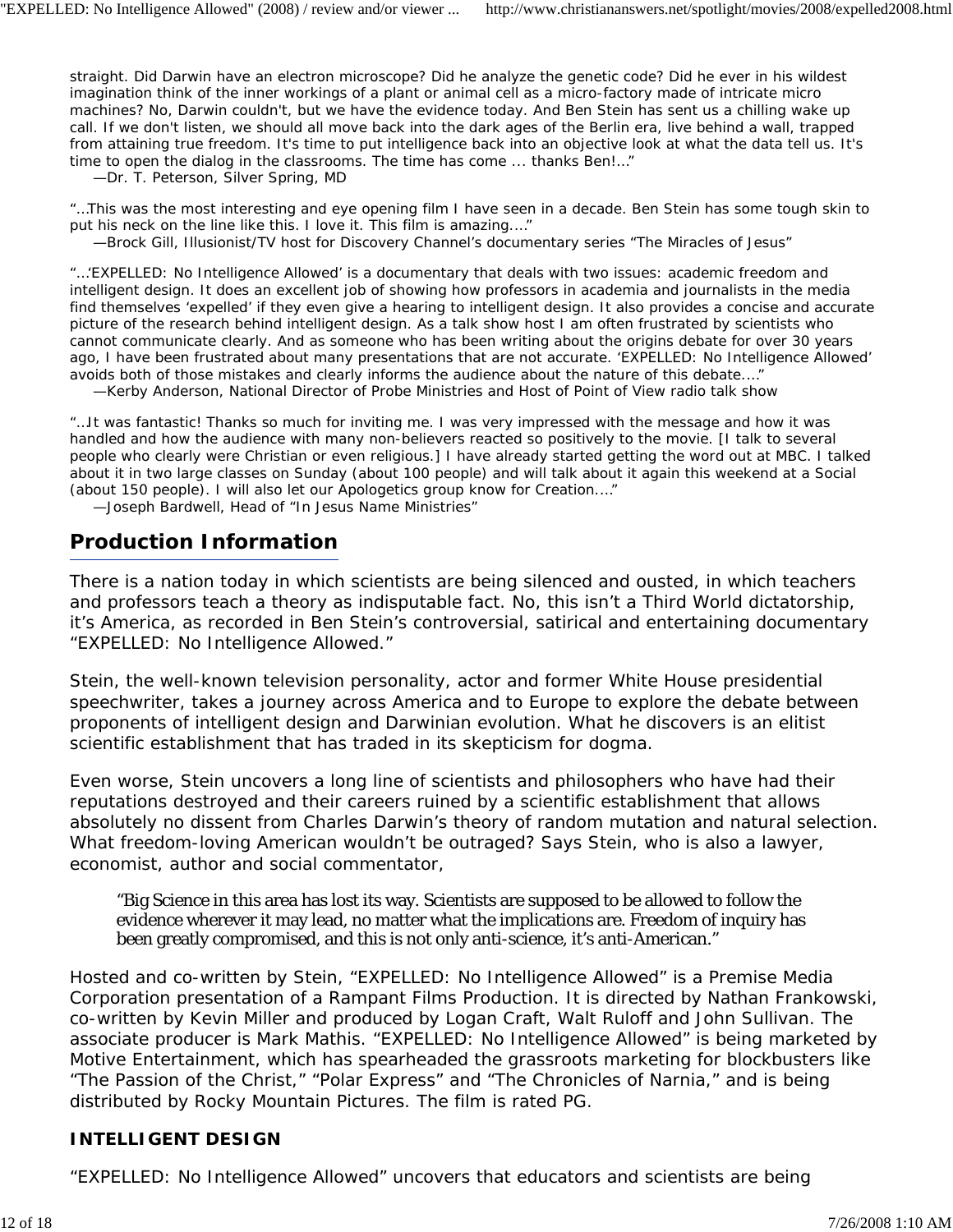straight. Did Darwin have an electron microscope? Did he analyze the genetic code? Did he ever in his wildest imagination think of the inner workings of a plant or animal cell as a micro-factory made of intricate micro machines? No, Darwin couldn't, but we have the evidence today. And Ben Stein has sent us a chilling wake up call. If we don't listen, we should all move back into the dark ages of the Berlin era, live behind a wall, trapped from attaining true freedom. It's time to put intelligence back into an objective look at what the data tell us. It's time to open the dialog in the classrooms. The time has come ... thanks Ben!…"

*—Dr. T. Peterson, Silver Spring, MD*

"…This was the most interesting and eye opening film I have seen in a decade. Ben Stein has some tough skin to put his neck on the line like this. I love it. This film is amazing.…"

*—Brock Gill, Illusionist/TV host for Discovery Channel's documentary series "The Miracles of Jesus"*

"…'EXPELLED: No Intelligence Allowed' is a documentary that deals with two issues: academic freedom and intelligent design. It does an excellent job of showing how professors in academia and journalists in the media find themselves 'expelled' if they even give a hearing to intelligent design. It also provides a concise and accurate picture of the research behind intelligent design. As a talk show host I am often frustrated by scientists who cannot communicate clearly. And as someone who has been writing about the origins debate for over 30 years ago, I have been frustrated about many presentations that are not accurate. 'EXPELLED: No Intelligence Allowed' avoids both of those mistakes and clearly informs the audience about the nature of this debate.…"

*—Kerby Anderson, National Director of Probe Ministries and Host of Point of View radio talk show*

"…It was fantastic! Thanks so much for inviting me. I was very impressed with the message and how it was handled and how the audience with many non-believers reacted so positively to the movie. [I talk to several people who clearly were Christian or even religious.] I have already started getting the word out at MBC. I talked about it in two large classes on Sunday (about 100 people) and will talk about it again this weekend at a Social (about 150 people). I will also let our Apologetics group know for Creation.…"

*—Joseph Bardwell, Head of "In Jesus Name Ministries"*

### **Production Information**

There is a nation today in which scientists are being silenced and ousted, in which teachers and professors teach a theory as indisputable fact. No, this isn't a Third World dictatorship, it's America, as recorded in Ben Stein's controversial, satirical and entertaining documentary "EXPELLED: No Intelligence Allowed."

Stein, the well-known television personality, actor and former White House presidential speechwriter, takes a journey across America and to Europe to explore the debate between proponents of intelligent design and Darwinian evolution. What he discovers is an elitist scientific establishment that has traded in its skepticism for dogma.

Even worse, Stein uncovers a long line of scientists and philosophers who have had their reputations destroyed and their careers ruined by a scientific establishment that allows absolutely no dissent from Charles Darwin's theory of random mutation and natural selection. What freedom-loving American wouldn't be outraged? Says Stein, who is also a lawyer, economist, author and social commentator,

"Big Science in this area has lost its way. Scientists are supposed to be allowed to follow the evidence wherever it may lead, no matter what the implications are. Freedom of inquiry has been greatly compromised, and this is not only anti-science, it's anti-American."

Hosted and co-written by Stein, "EXPELLED: No Intelligence Allowed" is a Premise Media Corporation presentation of a Rampant Films Production. It is directed by Nathan Frankowski, co-written by Kevin Miller and produced by Logan Craft, Walt Ruloff and John Sullivan. The associate producer is Mark Mathis. "EXPELLED: No Intelligence Allowed" is being marketed by Motive Entertainment, which has spearheaded the grassroots marketing for blockbusters like "The Passion of the Christ," "Polar Express" and "The Chronicles of Narnia," and is being distributed by Rocky Mountain Pictures. The film is rated PG.

#### *INTELLIGENT DESIGN*

"EXPELLED: No Intelligence Allowed" uncovers that educators and scientists are being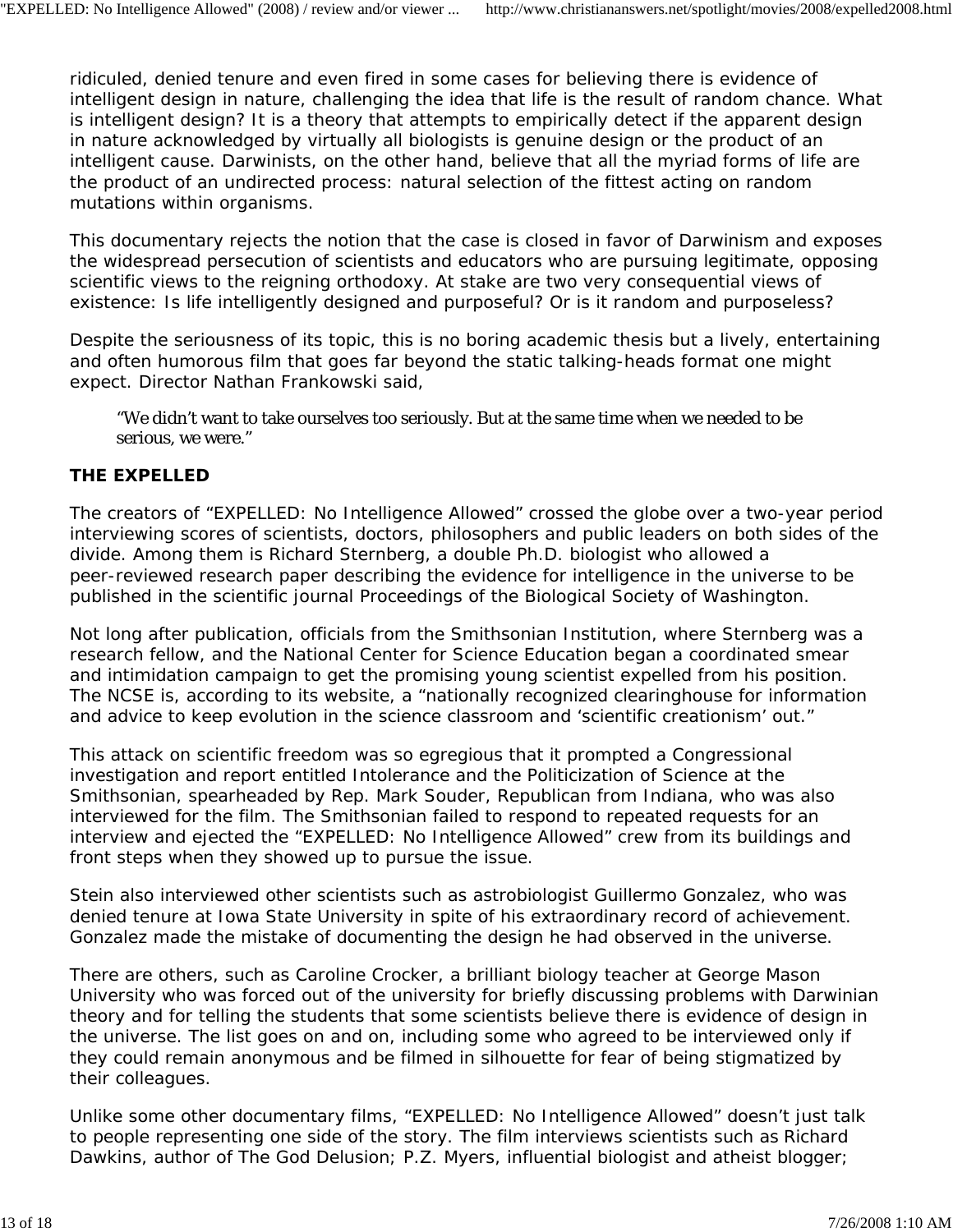ridiculed, denied tenure and even fired in some cases for believing there is evidence of intelligent design in nature, challenging the idea that life is the result of random chance. What is intelligent design? It is a theory that attempts to empirically detect if the apparent design in nature acknowledged by virtually all biologists is genuine design or the product of an intelligent cause. Darwinists, on the other hand, believe that all the myriad forms of life are the product of an undirected process: natural selection of the fittest acting on random mutations within organisms.

This documentary rejects the notion that the case is closed in favor of Darwinism and exposes the widespread persecution of scientists and educators who are pursuing legitimate, opposing scientific views to the reigning orthodoxy. At stake are two very consequential views of existence: Is life intelligently designed and purposeful? Or is it random and purposeless?

Despite the seriousness of its topic, this is no boring academic thesis but a lively, entertaining and often humorous film that goes far beyond the static talking-heads format one might expect. Director Nathan Frankowski said,

"We didn't want to take ourselves too seriously. But at the same time when we needed to be serious, we were."

#### *THE EXPELLED*

The creators of "EXPELLED: No Intelligence Allowed" crossed the globe over a two-year period interviewing scores of scientists, doctors, philosophers and public leaders on both sides of the divide. Among them is Richard Sternberg, a double Ph.D. biologist who allowed a peer-reviewed research paper describing the evidence for intelligence in the universe to be published in the scientific journal Proceedings of the Biological Society of Washington.

Not long after publication, officials from the Smithsonian Institution, where Sternberg was a research fellow, and the National Center for Science Education began a coordinated smear and intimidation campaign to get the promising young scientist expelled from his position. The NCSE is, according to its website, a "nationally recognized clearinghouse for information and advice to keep evolution in the science classroom and 'scientific creationism' out."

This attack on scientific freedom was so egregious that it prompted a Congressional investigation and report entitled Intolerance and the Politicization of Science at the Smithsonian, spearheaded by Rep. Mark Souder, Republican from Indiana, who was also interviewed for the film. The Smithsonian failed to respond to repeated requests for an interview and ejected the "EXPELLED: No Intelligence Allowed" crew from its buildings and front steps when they showed up to pursue the issue.

Stein also interviewed other scientists such as astrobiologist Guillermo Gonzalez, who was denied tenure at Iowa State University in spite of his extraordinary record of achievement. Gonzalez made the mistake of documenting the design he had observed in the universe.

There are others, such as Caroline Crocker, a brilliant biology teacher at George Mason University who was forced out of the university for briefly discussing problems with Darwinian theory and for telling the students that some scientists believe there is evidence of design in the universe. The list goes on and on, including some who agreed to be interviewed only if they could remain anonymous and be filmed in silhouette for fear of being stigmatized by their colleagues.

Unlike some other documentary films, "EXPELLED: No Intelligence Allowed" doesn't just talk to people representing one side of the story. The film interviews scientists such as Richard Dawkins, author of *The God Delusion*; P.Z. Myers, influential biologist and atheist blogger;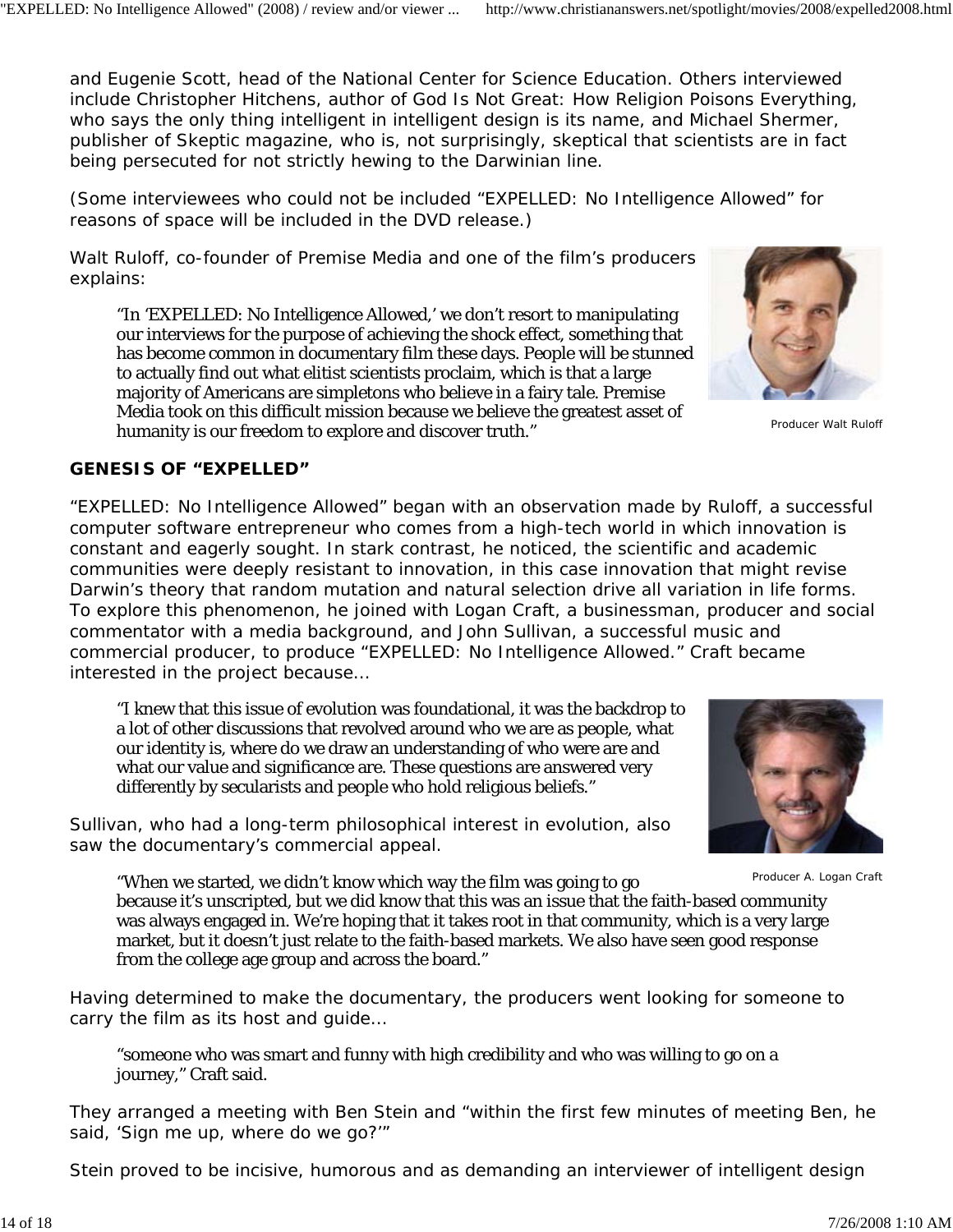and Eugenie Scott, head of the National Center for Science Education. Others interviewed include Christopher Hitchens, author of *God Is Not Great: How Religion Poisons Everything*, who says the only thing intelligent in intelligent design is its name, and Michael Shermer, publisher of *Skeptic* magazine, who is, not surprisingly, skeptical that scientists are in fact being persecuted for not strictly hewing to the Darwinian line.

(Some interviewees who could not be included "EXPELLED: No Intelligence Allowed" for reasons of space will be included in the DVD release.)

Walt Ruloff, co-founder of Premise Media and one of the film's producers explains:

"In 'EXPELLED: No Intelligence Allowed,' we don't resort to manipulating our interviews for the purpose of achieving the shock effect, something that has become common in documentary film these days. People will be stunned to actually find out what elitist scientists proclaim, which is that a large majority of Americans are simpletons who believe in a fairy tale. Premise Media took on this difficult mission because we believe the greatest asset of humanity is our freedom to explore and discover truth."

# *GENESIS OF "EXPELLED"*

"EXPELLED: No Intelligence Allowed" began with an observation made by Ruloff, a successful computer software entrepreneur who comes from a high-tech world in which innovation is constant and eagerly sought. In stark contrast, he noticed, the scientific and academic communities were deeply resistant to innovation, in this case innovation that might revise Darwin's theory that random mutation and natural selection drive all variation in life forms. To explore this phenomenon, he joined with Logan Craft, a businessman, producer and social commentator with a media background, and John Sullivan, a successful music and commercial producer, to produce "EXPELLED: No Intelligence Allowed." Craft became interested in the project because…

"I knew that this issue of evolution was foundational, it was the backdrop to a lot of other discussions that revolved around who we are as people, what our identity is, where do we draw an understanding of who were are and what our value and significance are. These questions are answered very differently by secularists and people who hold religious beliefs."

Sullivan, who had a long-term philosophical interest in evolution, also saw the documentary's commercial appeal.

"When we started, we didn't know which way the film was going to go because it's unscripted, but we did know that this was an issue that the faith-based community was always engaged in. We're hoping that it takes root in that community, which is a very large market, but it doesn't just relate to the faith-based markets. We also have seen good response from the college age group and across the board."

Having determined to make the documentary, the producers went looking for someone to carry the film as its host and guide…

"someone who was smart and funny with high credibility and who was willing to go on a journey," Craft said.

They arranged a meeting with Ben Stein and "within the first few minutes of meeting Ben, he said, 'Sign me up, where do we go?'"

Stein proved to be incisive, humorous and as demanding an interviewer of intelligent design



Producer Walt Ruloff



Producer A. Logan Craft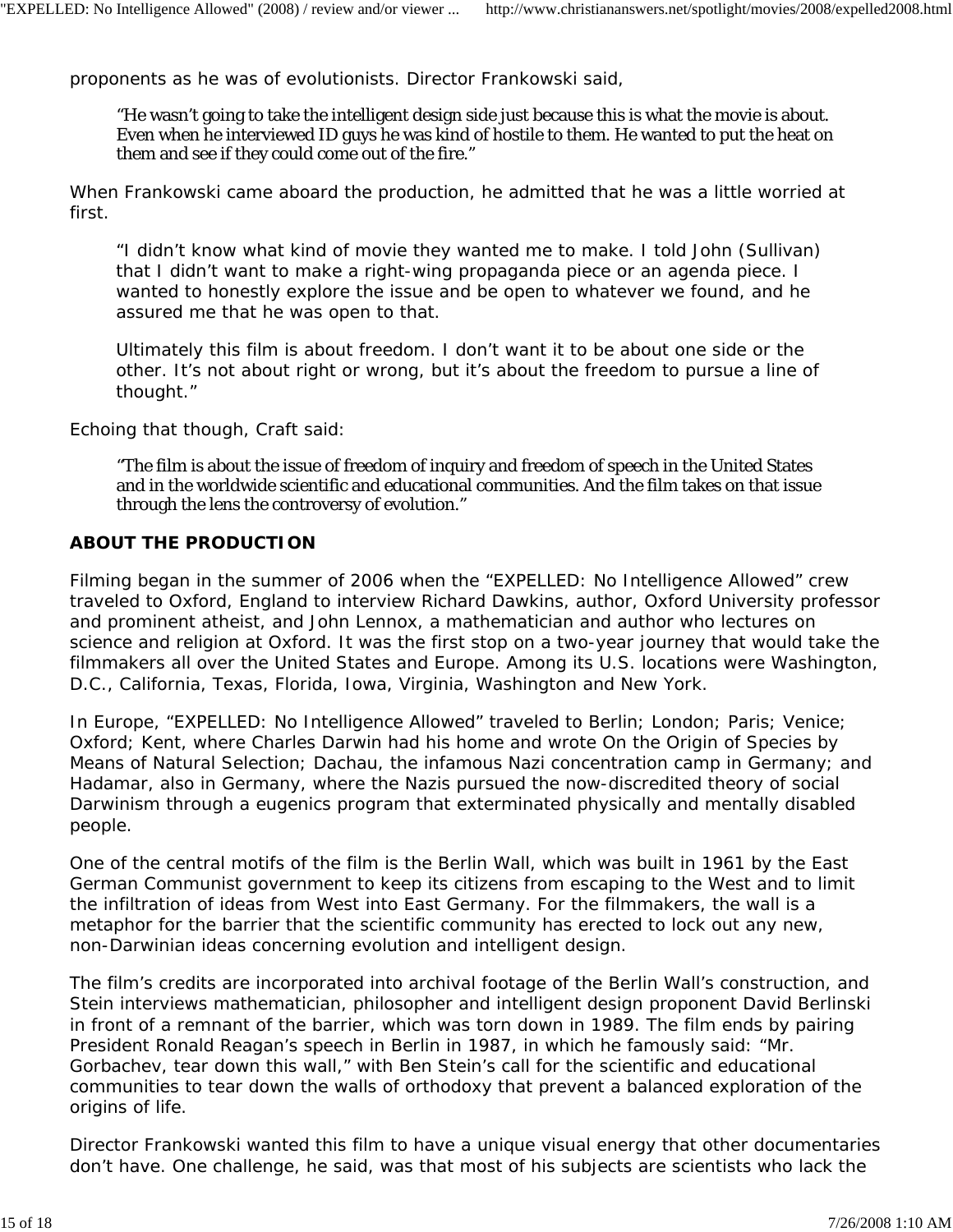proponents as he was of evolutionists. Director Frankowski said,

"He wasn't going to take the intelligent design side just because this is what the movie is about. Even when he interviewed ID guys he was kind of hostile to them. He wanted to put the heat on them and see if they could come out of the fire."

When Frankowski came aboard the production, he admitted that he was a little worried at first.

"I didn't know what kind of movie they wanted me to make. I told John (Sullivan) that I didn't want to make a right-wing propaganda piece or an agenda piece. I wanted to honestly explore the issue and be open to whatever we found, and he assured me that he was open to that.

Ultimately this film is about freedom. I don't want it to be about one side or the other. It's not about right or wrong, but it's about the freedom to pursue a line of thought."

Echoing that though, Craft said:

"The film is about the issue of freedom of inquiry and freedom of speech in the United States and in the worldwide scientific and educational communities. And the film takes on that issue through the lens the controversy of evolution."

#### *ABOUT THE PRODUCTION*

Filming began in the summer of 2006 when the "EXPELLED: No Intelligence Allowed" crew traveled to Oxford, England to interview Richard Dawkins, author, Oxford University professor and prominent atheist, and John Lennox, a mathematician and author who lectures on science and religion at Oxford. It was the first stop on a two-year journey that would take the filmmakers all over the United States and Europe. Among its U.S. locations were Washington, D.C., California, Texas, Florida, Iowa, Virginia, Washington and New York.

In Europe, "EXPELLED: No Intelligence Allowed" traveled to Berlin; London; Paris; Venice; Oxford; Kent, where Charles Darwin had his home and wrote On the Origin of Species by Means of Natural Selection; Dachau, the infamous Nazi concentration camp in Germany; and Hadamar, also in Germany, where the Nazis pursued the now-discredited theory of social Darwinism through a eugenics program that exterminated physically and mentally disabled people.

One of the central motifs of the film is the Berlin Wall, which was built in 1961 by the East German Communist government to keep its citizens from escaping to the West and to limit the infiltration of ideas from West into East Germany. For the filmmakers, the wall is a metaphor for the barrier that the scientific community has erected to lock out any new, non-Darwinian ideas concerning evolution and intelligent design.

The film's credits are incorporated into archival footage of the Berlin Wall's construction, and Stein interviews mathematician, philosopher and intelligent design proponent David Berlinski in front of a remnant of the barrier, which was torn down in 1989. The film ends by pairing President Ronald Reagan's speech in Berlin in 1987, in which he famously said: "Mr. Gorbachev, tear down this wall," with Ben Stein's call for the scientific and educational communities to tear down the walls of orthodoxy that prevent a balanced exploration of the origins of life.

Director Frankowski wanted this film to have a unique visual energy that other documentaries don't have. One challenge, he said, was that most of his subjects are scientists who lack the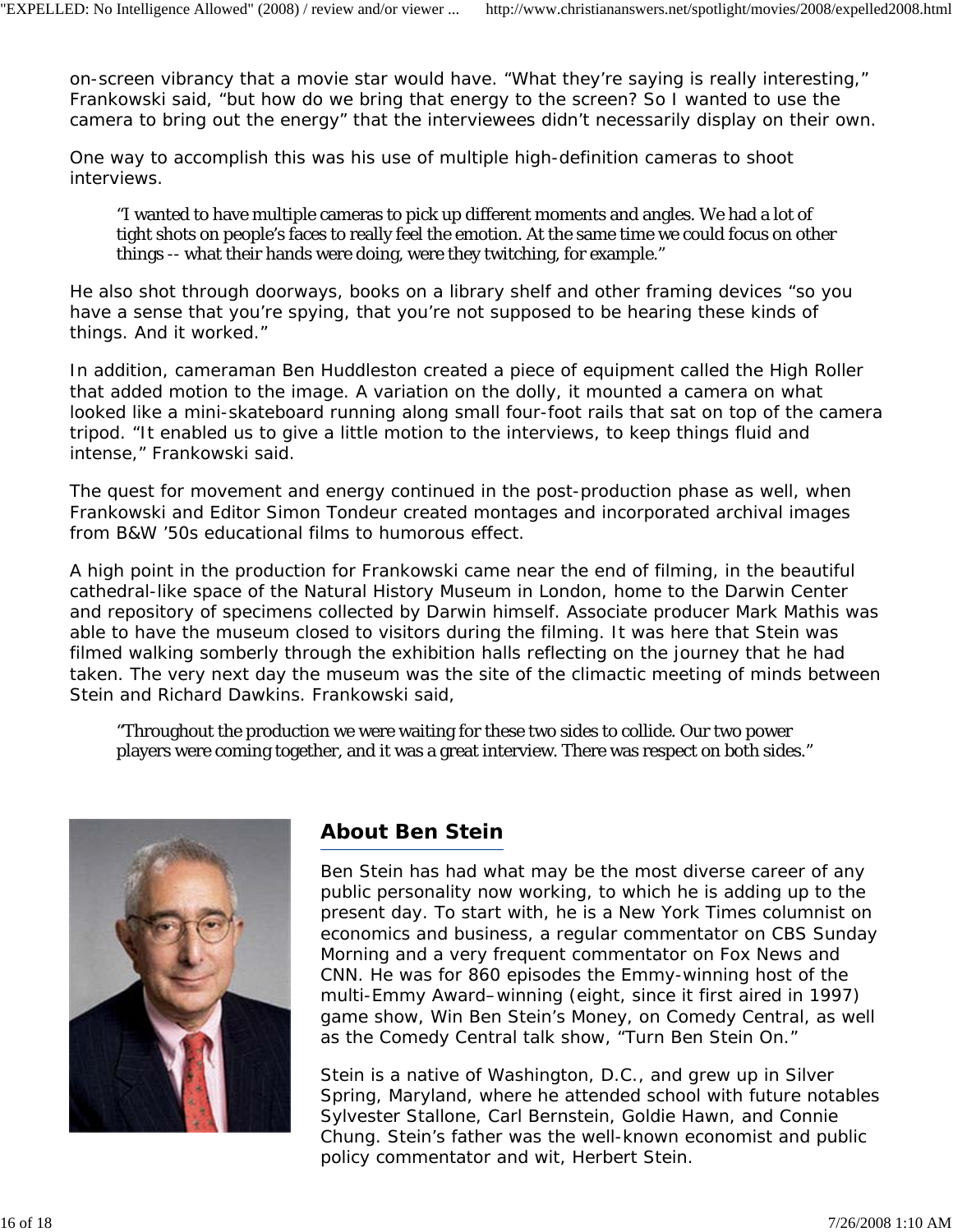on-screen vibrancy that a movie star would have. "What they're saying is really interesting," Frankowski said, "but how do we bring that energy to the screen? So I wanted to use the camera to bring out the energy" that the interviewees didn't necessarily display on their own.

One way to accomplish this was his use of multiple high-definition cameras to shoot interviews.

"I wanted to have multiple cameras to pick up different moments and angles. We had a lot of tight shots on people's faces to really feel the emotion. At the same time we could focus on other things -- what their hands were doing, were they twitching, for example."

He also shot through doorways, books on a library shelf and other framing devices "so you have a sense that you're spying, that you're not supposed to be hearing these kinds of things. And it worked."

In addition, cameraman Ben Huddleston created a piece of equipment called the High Roller that added motion to the image. A variation on the dolly, it mounted a camera on what looked like a mini-skateboard running along small four-foot rails that sat on top of the camera tripod. "It enabled us to give a little motion to the interviews, to keep things fluid and intense," Frankowski said.

The quest for movement and energy continued in the post-production phase as well, when Frankowski and Editor Simon Tondeur created montages and incorporated archival images from B&W '50s educational films to humorous effect.

A high point in the production for Frankowski came near the end of filming, in the beautiful cathedral-like space of the Natural History Museum in London, home to the Darwin Center and repository of specimens collected by Darwin himself. Associate producer Mark Mathis was able to have the museum closed to visitors during the filming. It was here that Stein was filmed walking somberly through the exhibition halls reflecting on the journey that he had taken. The very next day the museum was the site of the climactic meeting of minds between Stein and Richard Dawkins. Frankowski said,

"Throughout the production we were waiting for these two sides to collide. Our two power players were coming together, and it was a great interview. There was respect on both sides."



# **About Ben Stein**

Ben Stein has had what may be the most diverse career of any public personality now working, to which he is adding up to the present day. To start with, he is a *New York Times* columnist on economics and business, a regular commentator on CBS Sunday Morning and a very frequent commentator on Fox News and CNN. He was for 860 episodes the Emmy-winning host of the multi-Emmy Award–winning (eight, since it first aired in 1997) game show, *Win Ben Stein's Money*, on Comedy Central, as well as the Comedy Central talk show, "Turn Ben Stein On."

Stein is a native of Washington, D.C., and grew up in Silver Spring, Maryland, where he attended school with future notables Sylvester Stallone, Carl Bernstein, Goldie Hawn, and Connie Chung. Stein's father was the well-known economist and public policy commentator and wit, Herbert Stein.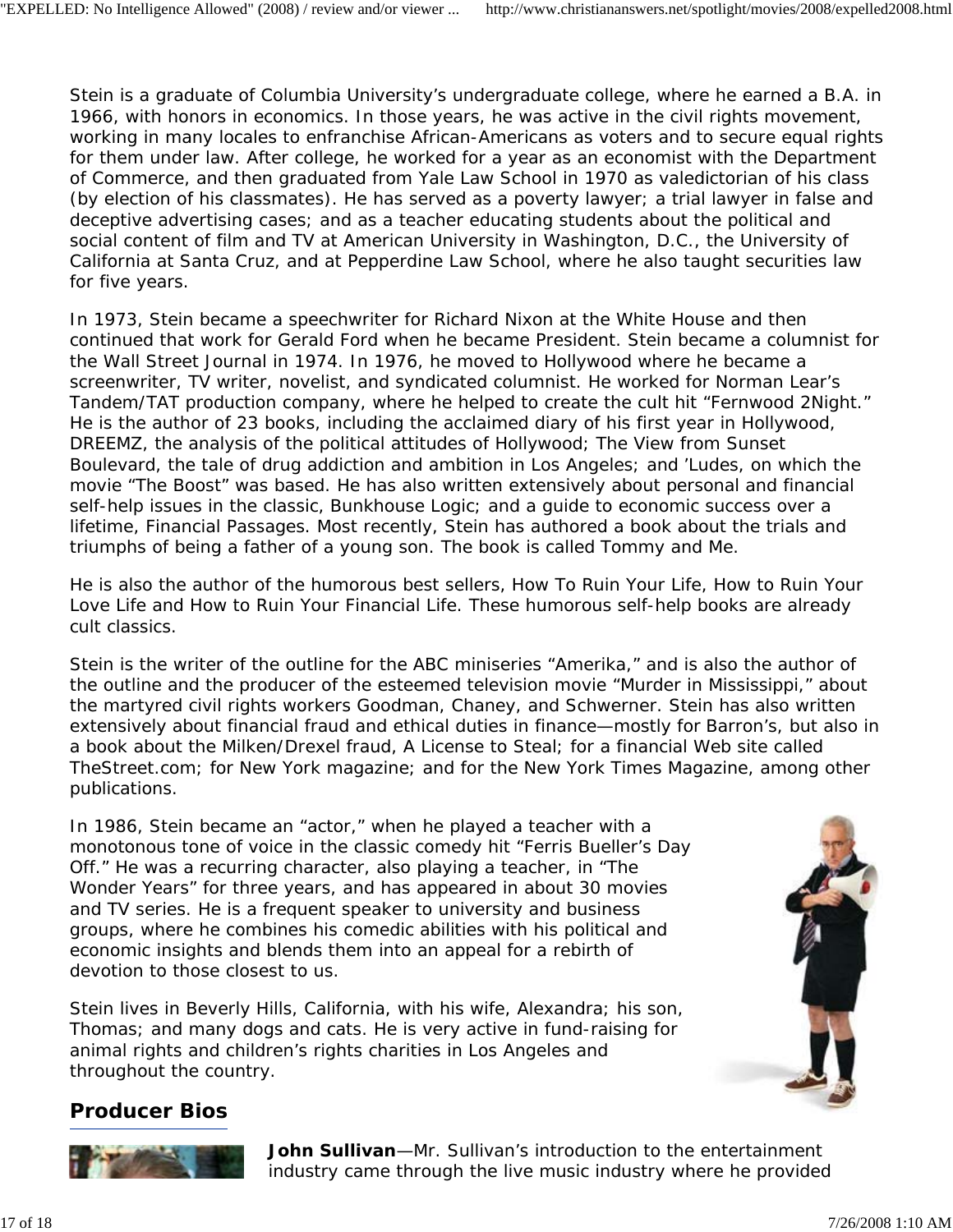Stein is a graduate of Columbia University's undergraduate college, where he earned a B.A. in 1966, with honors in economics. In those years, he was active in the civil rights movement, working in many locales to enfranchise African-Americans as voters and to secure equal rights for them under law. After college, he worked for a year as an economist with the Department of Commerce, and then graduated from Yale Law School in 1970 as valedictorian of his class (by election of his classmates). He has served as a poverty lawyer; a trial lawyer in false and deceptive advertising cases; and as a teacher educating students about the political and social content of film and TV at American University in Washington, D.C., the University of California at Santa Cruz, and at Pepperdine Law School, where he also taught securities law for five years.

In 1973, Stein became a speechwriter for Richard Nixon at the White House and then continued that work for Gerald Ford when he became President. Stein became a columnist for the Wall Street Journal in 1974. In 1976, he moved to Hollywood where he became a screenwriter, TV writer, novelist, and syndicated columnist. He worked for Norman Lear's Tandem/TAT production company, where he helped to create the cult hit "Fernwood 2Night." He is the author of 23 books, including the acclaimed diary of his first year in Hollywood, DREEMZ, the analysis of the political attitudes of Hollywood; *The View from Sunset Boulevard*, the tale of drug addiction and ambition in Los Angeles; and *'Ludes*, on which the movie "The Boost" was based. He has also written extensively about personal and financial self-help issues in the classic, *Bunkhouse Logic*; and a guide to economic success over a lifetime, *Financial Passages*. Most recently, Stein has authored a book about the trials and triumphs of being a father of a young son. The book is called *Tommy and Me*.

He is also the author of the humorous best sellers, *How To Ruin Your Life*, *How to Ruin Your Love Life* and *How to Ruin Your Financial Life*. These humorous self-help books are already cult classics.

Stein is the writer of the outline for the ABC miniseries "Amerika," and is also the author of the outline and the producer of the esteemed television movie "Murder in Mississippi," about the martyred civil rights workers Goodman, Chaney, and Schwerner. Stein has also written extensively about financial fraud and ethical duties in finance—mostly for *Barron*'s, but also in a book about the Milken/Drexel fraud, *A License to Steal*; for a financial Web site called TheStreet.com; for *New York* magazine; and for the *New York Times Magazine*, among other publications.

In 1986, Stein became an "actor," when he played a teacher with a monotonous tone of voice in the classic comedy hit "Ferris Bueller's Day Off." He was a recurring character, also playing a teacher, in "The Wonder Years" for three years, and has appeared in about 30 movies and TV series. He is a frequent speaker to university and business groups, where he combines his comedic abilities with his political and economic insights and blends them into an appeal for a rebirth of devotion to those closest to us.

Stein lives in Beverly Hills, California, with his wife, Alexandra; his son, Thomas; and many dogs and cats. He is very active in fund-raising for animal rights and children's rights charities in Los Angeles and throughout the country.



# **Producer Bios**



**John Sullivan**—Mr. Sullivan's introduction to the entertainment industry came through the live music industry where he provided